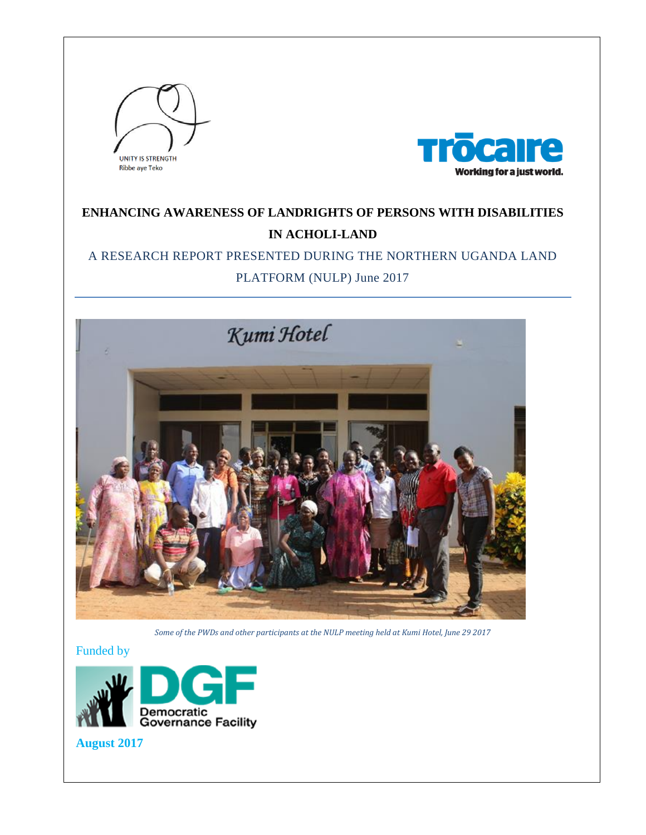



# **ENHANCING AWARENESS OF LANDRIGHTS OF PERSONS WITH DISABILITIES IN ACHOLI-LAND**

# A RESEARCH REPORT PRESENTED DURING THE NORTHERN UGANDA LAND

# PLATFORM (NULP) June 2017



*Some of the PWDs and other participants at the NULP meeting held at Kumi Hotel, June 29 2017*

Funded by



**August 2017**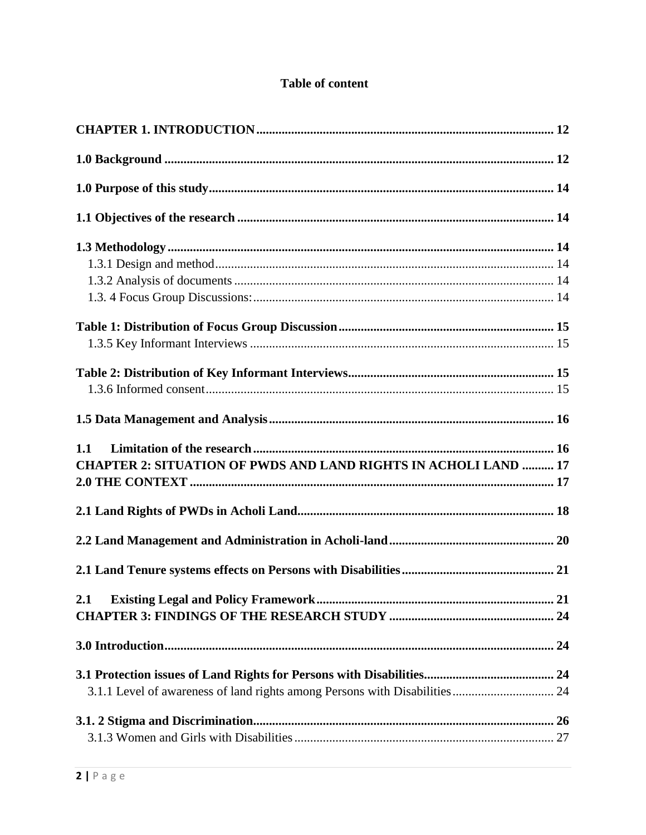# **Table of content**

| <b>CHAPTER 2: SITUATION OF PWDS AND LAND RIGHTS IN ACHOLI LAND  17</b> |  |
|------------------------------------------------------------------------|--|
|                                                                        |  |
|                                                                        |  |
|                                                                        |  |
|                                                                        |  |
|                                                                        |  |
| 2.1                                                                    |  |
|                                                                        |  |
|                                                                        |  |
|                                                                        |  |
|                                                                        |  |
|                                                                        |  |
|                                                                        |  |
|                                                                        |  |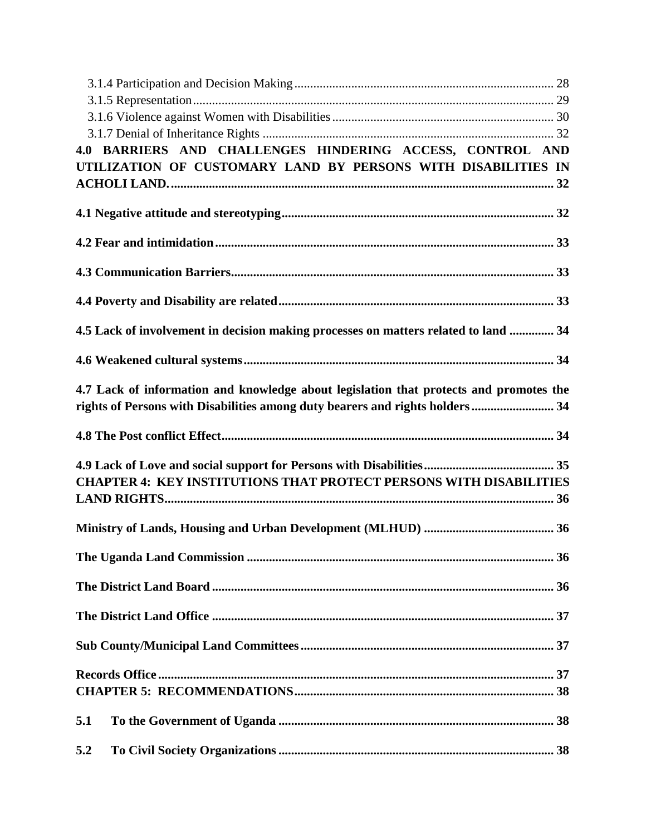| 4.0 BARRIERS AND CHALLENGES HINDERING ACCESS, CONTROL AND                                                                                                               |  |
|-------------------------------------------------------------------------------------------------------------------------------------------------------------------------|--|
| UTILIZATION OF CUSTOMARY LAND BY PERSONS WITH DISABILITIES IN                                                                                                           |  |
|                                                                                                                                                                         |  |
|                                                                                                                                                                         |  |
|                                                                                                                                                                         |  |
|                                                                                                                                                                         |  |
|                                                                                                                                                                         |  |
| 4.5 Lack of involvement in decision making processes on matters related to land  34                                                                                     |  |
|                                                                                                                                                                         |  |
| 4.7 Lack of information and knowledge about legislation that protects and promotes the<br>rights of Persons with Disabilities among duty bearers and rights holders  34 |  |
|                                                                                                                                                                         |  |
|                                                                                                                                                                         |  |
| <b>CHAPTER 4: KEY INSTITUTIONS THAT PROTECT PERSONS WITH DISABILITIES</b>                                                                                               |  |
|                                                                                                                                                                         |  |
|                                                                                                                                                                         |  |
|                                                                                                                                                                         |  |
|                                                                                                                                                                         |  |
|                                                                                                                                                                         |  |
|                                                                                                                                                                         |  |
|                                                                                                                                                                         |  |
|                                                                                                                                                                         |  |
| 5.1                                                                                                                                                                     |  |
| 5.2                                                                                                                                                                     |  |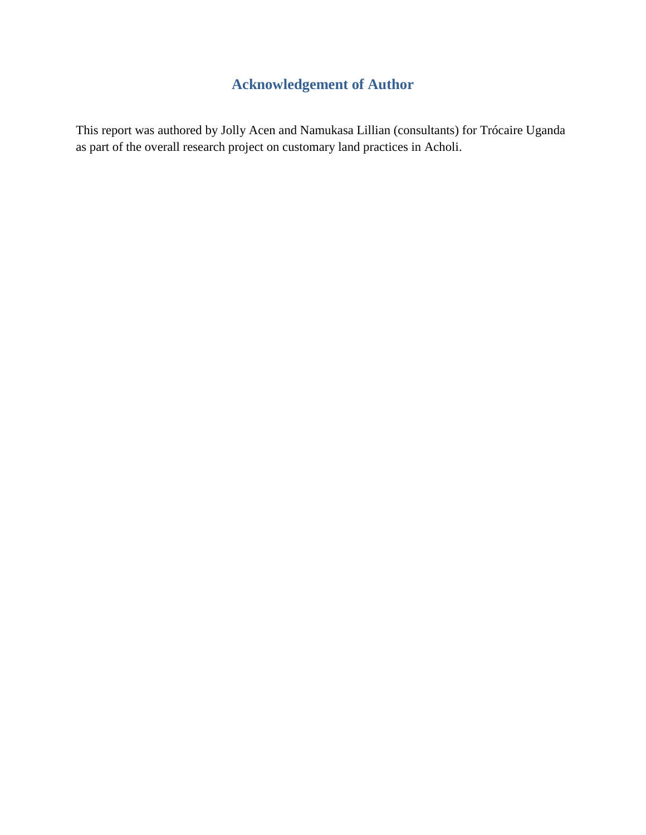# **Acknowledgement of Author**

This report was authored by Jolly Acen and Namukasa Lillian (consultants) for Trócaire Uganda as part of the overall research project on customary land practices in Acholi.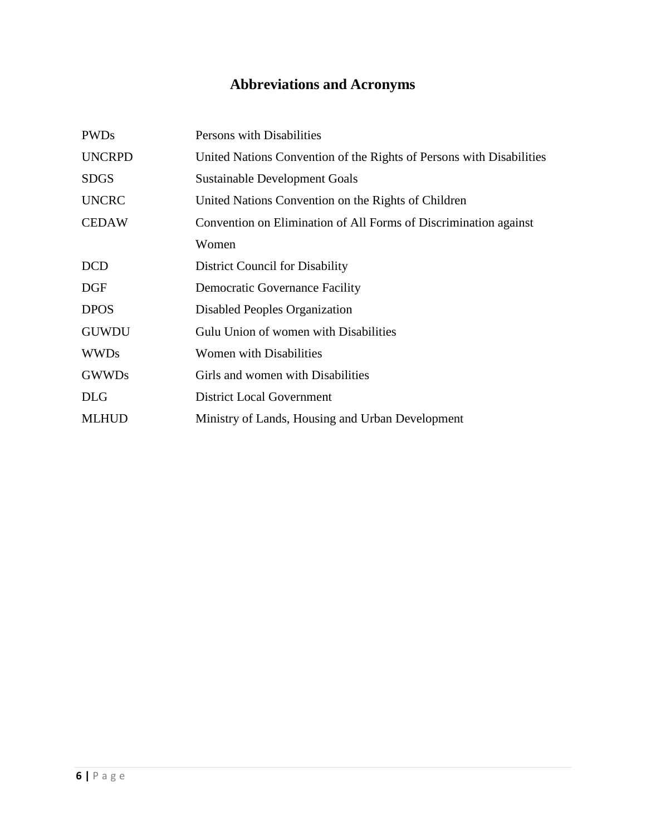# **Abbreviations and Acronyms**

| <b>PWDs</b>   | Persons with Disabilities                                            |  |
|---------------|----------------------------------------------------------------------|--|
| <b>UNCRPD</b> | United Nations Convention of the Rights of Persons with Disabilities |  |
| <b>SDGS</b>   | Sustainable Development Goals                                        |  |
| <b>UNCRC</b>  | United Nations Convention on the Rights of Children                  |  |
| <b>CEDAW</b>  | Convention on Elimination of All Forms of Discrimination against     |  |
|               | Women                                                                |  |
| <b>DCD</b>    | District Council for Disability                                      |  |
| <b>DGF</b>    | <b>Democratic Governance Facility</b>                                |  |
| <b>DPOS</b>   | Disabled Peoples Organization                                        |  |
| <b>GUWDU</b>  | Gulu Union of women with Disabilities                                |  |
| <b>WWDs</b>   | <b>Women with Disabilities</b>                                       |  |
| <b>GWWDs</b>  | Girls and women with Disabilities                                    |  |
| <b>DLG</b>    | <b>District Local Government</b>                                     |  |
| <b>MLHUD</b>  | Ministry of Lands, Housing and Urban Development                     |  |
|               |                                                                      |  |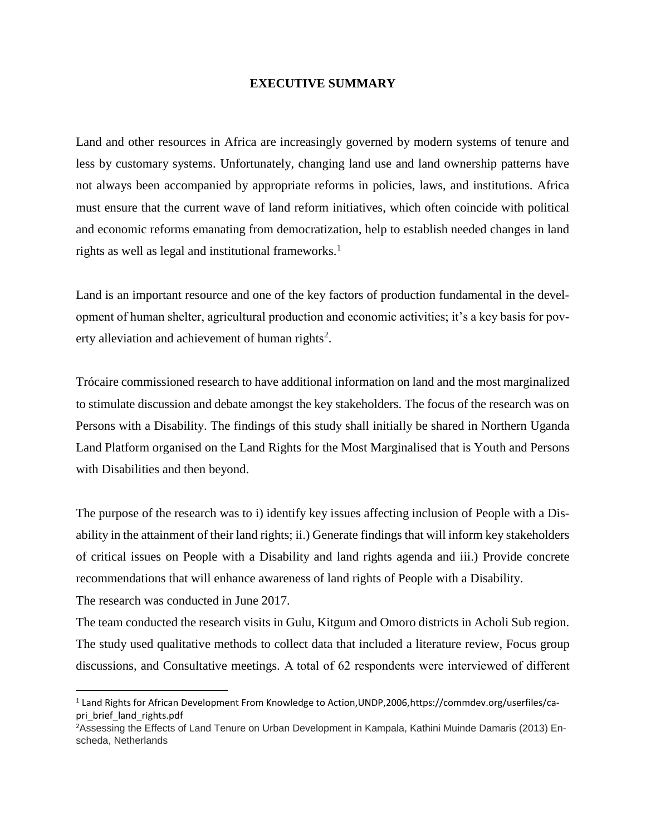#### **EXECUTIVE SUMMARY**

Land and other resources in Africa are increasingly governed by modern systems of tenure and less by customary systems. Unfortunately, changing land use and land ownership patterns have not always been accompanied by appropriate reforms in policies, laws, and institutions. Africa must ensure that the current wave of land reform initiatives, which often coincide with political and economic reforms emanating from democratization, help to establish needed changes in land rights as well as legal and institutional frameworks.<sup>1</sup>

Land is an important resource and one of the key factors of production fundamental in the development of human shelter, agricultural production and economic activities; it's a key basis for poverty alleviation and achievement of human rights<sup>2</sup>.

Trócaire commissioned research to have additional information on land and the most marginalized to stimulate discussion and debate amongst the key stakeholders. The focus of the research was on Persons with a Disability. The findings of this study shall initially be shared in Northern Uganda Land Platform organised on the Land Rights for the Most Marginalised that is Youth and Persons with Disabilities and then beyond.

The purpose of the research was to i) identify key issues affecting inclusion of People with a Disability in the attainment of their land rights; ii.) Generate findings that will inform key stakeholders of critical issues on People with a Disability and land rights agenda and iii.) Provide concrete recommendations that will enhance awareness of land rights of People with a Disability.

The research was conducted in June 2017.

 $\overline{\phantom{a}}$ 

The team conducted the research visits in Gulu, Kitgum and Omoro districts in Acholi Sub region. The study used qualitative methods to collect data that included a literature review, Focus group discussions, and Consultative meetings. A total of 62 respondents were interviewed of different

<sup>&</sup>lt;sup>1</sup> Land Rights for African Development From Knowledge to Action,UNDP,2006,https://commdev.org/userfiles/capri\_brief\_land\_rights.pdf

<sup>2</sup>Assessing the Effects of Land Tenure on Urban Development in Kampala, Kathini Muinde Damaris (2013) Enscheda, Netherlands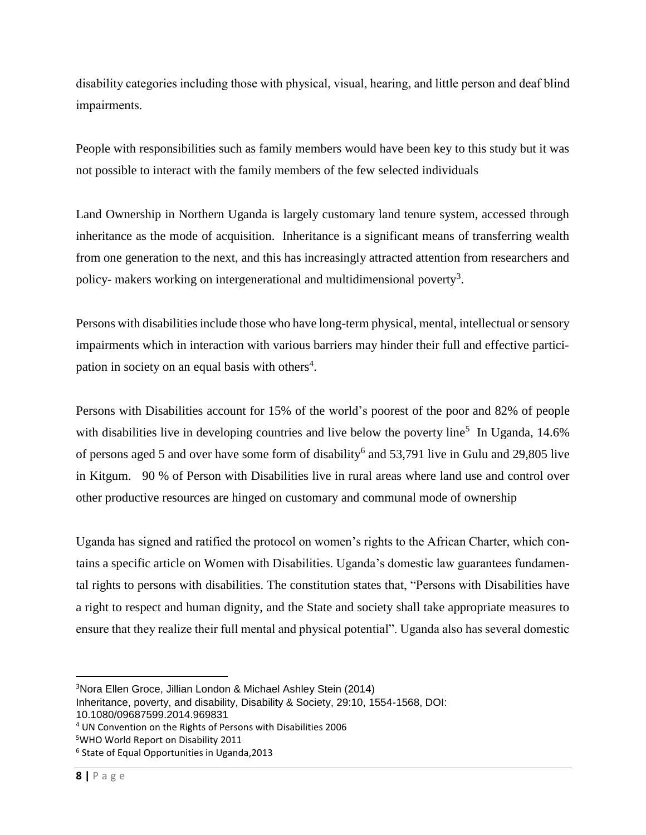disability categories including those with physical, visual, hearing, and little person and deaf blind impairments.

People with responsibilities such as family members would have been key to this study but it was not possible to interact with the family members of the few selected individuals

Land Ownership in Northern Uganda is largely customary land tenure system, accessed through inheritance as the mode of acquisition. Inheritance is a significant means of transferring wealth from one generation to the next, and this has increasingly attracted attention from researchers and policy- makers working on intergenerational and multidimensional poverty<sup>3</sup>.

Persons with disabilities include those who have long-term physical, mental, intellectual or sensory impairments which in interaction with various barriers may hinder their full and effective participation in society on an equal basis with others<sup>4</sup>.

Persons with Disabilities account for 15% of the world's poorest of the poor and 82% of people with disabilities live in developing countries and live below the poverty line<sup>5</sup> In Uganda,  $14.6\%$ of persons aged 5 and over have some form of disability<sup>6</sup> and 53,791 live in Gulu and 29,805 live in Kitgum. 90 % of Person with Disabilities live in rural areas where land use and control over other productive resources are hinged on customary and communal mode of ownership

Uganda has signed and ratified the protocol on women's rights to the African Charter, which contains a specific article on Women with Disabilities. Uganda's domestic law guarantees fundamental rights to persons with disabilities. The constitution states that, "Persons with Disabilities have a right to respect and human dignity, and the State and society shall take appropriate measures to ensure that they realize their full mental and physical potential". Uganda also has several domestic

l

<sup>3</sup>Nora Ellen Groce, Jillian London & Michael Ashley Stein (2014)

Inheritance, poverty, and disability, Disability & Society, 29:10, 1554-1568, DOI:

<sup>10.1080/09687599.2014.969831</sup>

<sup>4</sup> UN Convention on the Rights of Persons with Disabilities 2006

<sup>5</sup>WHO World Report on Disability 2011

<sup>6</sup> State of Equal Opportunities in Uganda,2013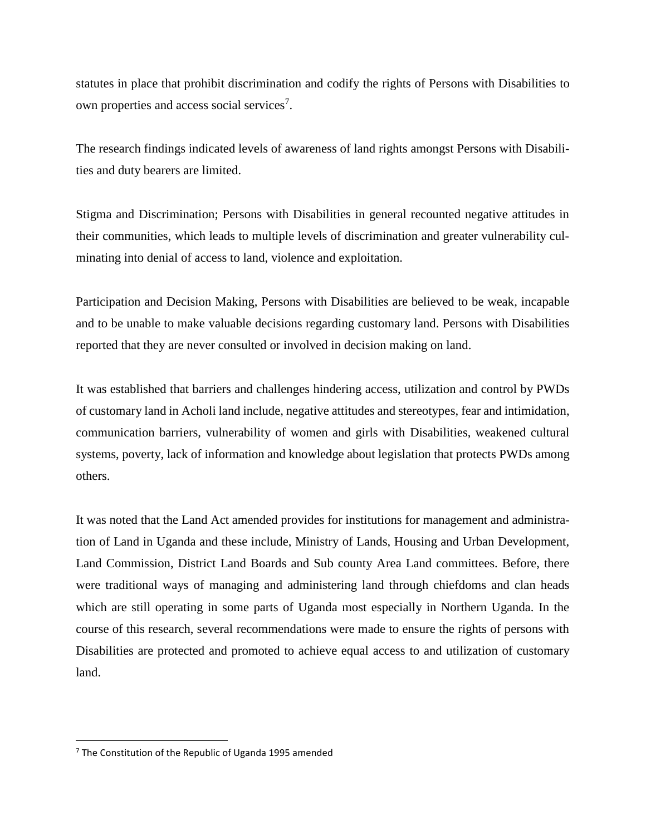statutes in place that prohibit discrimination and codify the rights of Persons with Disabilities to own properties and access social services<sup>7</sup>.

The research findings indicated levels of awareness of land rights amongst Persons with Disabilities and duty bearers are limited.

Stigma and Discrimination; Persons with Disabilities in general recounted negative attitudes in their communities, which leads to multiple levels of discrimination and greater vulnerability culminating into denial of access to land, violence and exploitation.

Participation and Decision Making, Persons with Disabilities are believed to be weak, incapable and to be unable to make valuable decisions regarding customary land. Persons with Disabilities reported that they are never consulted or involved in decision making on land.

It was established that barriers and challenges hindering access, utilization and control by PWDs of customary land in Acholi land include, negative attitudes and stereotypes, fear and intimidation, communication barriers, vulnerability of women and girls with Disabilities, weakened cultural systems, poverty, lack of information and knowledge about legislation that protects PWDs among others.

It was noted that the Land Act amended provides for institutions for management and administration of Land in Uganda and these include, Ministry of Lands, Housing and Urban Development, Land Commission, District Land Boards and Sub county Area Land committees. Before, there were traditional ways of managing and administering land through chiefdoms and clan heads which are still operating in some parts of Uganda most especially in Northern Uganda. In the course of this research, several recommendations were made to ensure the rights of persons with Disabilities are protected and promoted to achieve equal access to and utilization of customary land.

 $7$  The Constitution of the Republic of Uganda 1995 amended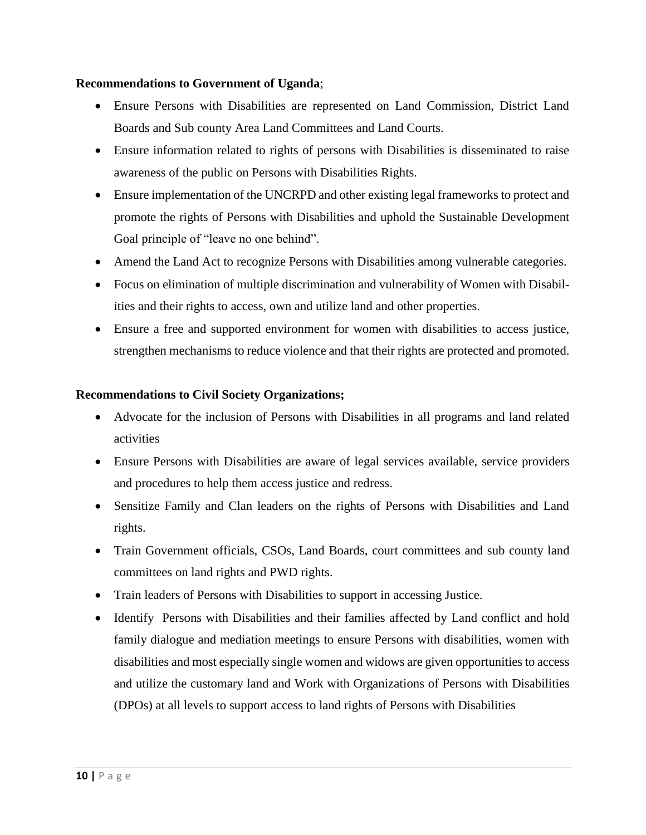## **Recommendations to Government of Uganda**;

- Ensure Persons with Disabilities are represented on Land Commission, District Land Boards and Sub county Area Land Committees and Land Courts.
- Ensure information related to rights of persons with Disabilities is disseminated to raise awareness of the public on Persons with Disabilities Rights.
- Ensure implementation of the UNCRPD and other existing legal frameworks to protect and promote the rights of Persons with Disabilities and uphold the Sustainable Development Goal principle of "leave no one behind".
- Amend the Land Act to recognize Persons with Disabilities among vulnerable categories.
- Focus on elimination of multiple discrimination and vulnerability of Women with Disabilities and their rights to access, own and utilize land and other properties.
- Ensure a free and supported environment for women with disabilities to access justice, strengthen mechanisms to reduce violence and that their rights are protected and promoted.

## **Recommendations to Civil Society Organizations;**

- Advocate for the inclusion of Persons with Disabilities in all programs and land related activities
- Ensure Persons with Disabilities are aware of legal services available, service providers and procedures to help them access justice and redress.
- Sensitize Family and Clan leaders on the rights of Persons with Disabilities and Land rights.
- Train Government officials, CSOs, Land Boards, court committees and sub county land committees on land rights and PWD rights.
- Train leaders of Persons with Disabilities to support in accessing Justice.
- Identify Persons with Disabilities and their families affected by Land conflict and hold family dialogue and mediation meetings to ensure Persons with disabilities, women with disabilities and most especially single women and widows are given opportunities to access and utilize the customary land and Work with Organizations of Persons with Disabilities (DPOs) at all levels to support access to land rights of Persons with Disabilities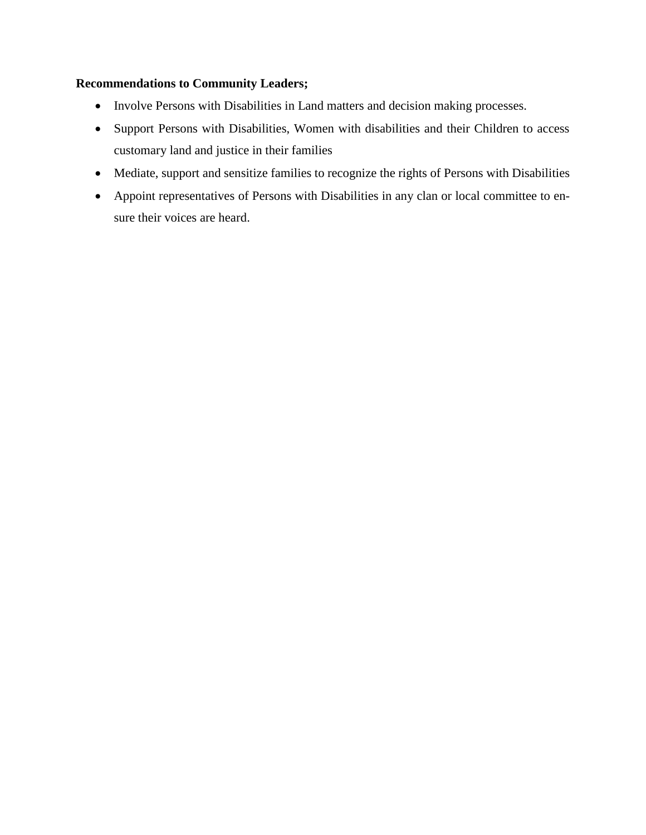# **Recommendations to Community Leaders;**

- Involve Persons with Disabilities in Land matters and decision making processes.
- Support Persons with Disabilities, Women with disabilities and their Children to access customary land and justice in their families
- Mediate, support and sensitize families to recognize the rights of Persons with Disabilities
- Appoint representatives of Persons with Disabilities in any clan or local committee to ensure their voices are heard.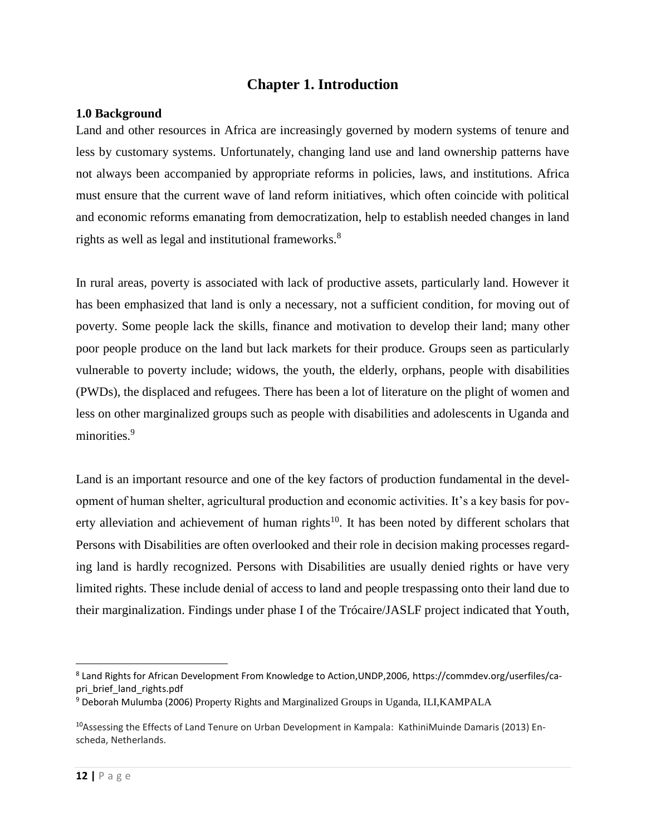# **Chapter 1. Introduction**

## <span id="page-11-1"></span><span id="page-11-0"></span>**1.0 Background**

Land and other resources in Africa are increasingly governed by modern systems of tenure and less by customary systems. Unfortunately, changing land use and land ownership patterns have not always been accompanied by appropriate reforms in policies, laws, and institutions. Africa must ensure that the current wave of land reform initiatives, which often coincide with political and economic reforms emanating from democratization, help to establish needed changes in land rights as well as legal and institutional frameworks.<sup>8</sup>

In rural areas, poverty is associated with lack of productive assets, particularly land. However it has been emphasized that land is only a necessary, not a sufficient condition, for moving out of poverty. Some people lack the skills, finance and motivation to develop their land; many other poor people produce on the land but lack markets for their produce. Groups seen as particularly vulnerable to poverty include; widows, the youth, the elderly, orphans, people with disabilities (PWDs), the displaced and refugees. There has been a lot of literature on the plight of women and less on other marginalized groups such as people with disabilities and adolescents in Uganda and minorities.<sup>9</sup>

Land is an important resource and one of the key factors of production fundamental in the development of human shelter, agricultural production and economic activities. It's a key basis for poverty alleviation and achievement of human rights<sup>10</sup>. It has been noted by different scholars that Persons with Disabilities are often overlooked and their role in decision making processes regarding land is hardly recognized. Persons with Disabilities are usually denied rights or have very limited rights. These include denial of access to land and people trespassing onto their land due to their marginalization. Findings under phase I of the Trócaire/JASLF project indicated that Youth,

l

<sup>8</sup> Land Rights for African Development From Knowledge to Action,UNDP,2006, https://commdev.org/userfiles/capri brief land rights.pdf

<sup>9</sup> Deborah Mulumba (2006) Property Rights and Marginalized Groups in Uganda, ILI,KAMPALA

<sup>10</sup>Assessing the Effects of Land Tenure on Urban Development in Kampala: KathiniMuinde Damaris (2013) Enscheda, Netherlands.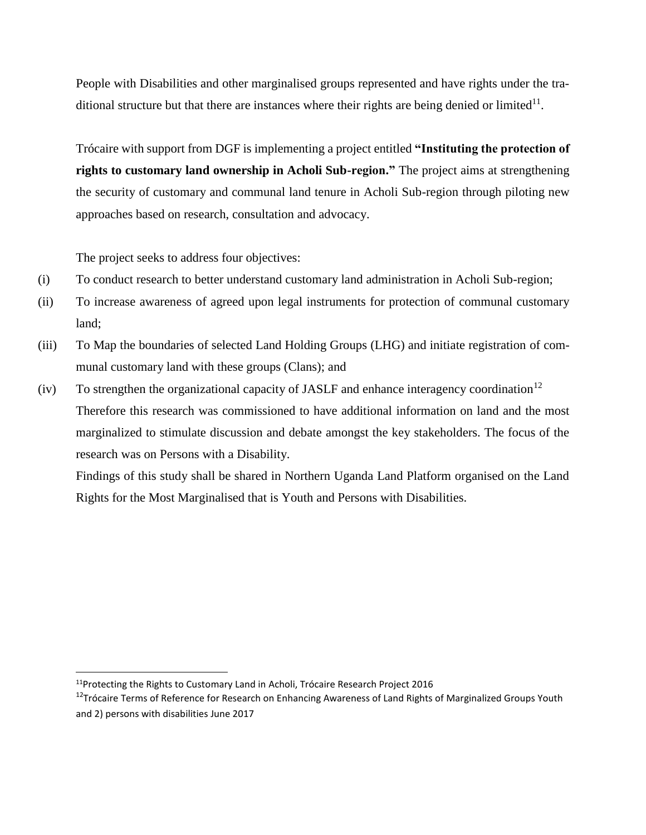People with Disabilities and other marginalised groups represented and have rights under the traditional structure but that there are instances where their rights are being denied or limited $11$ .

Trócaire with support from DGF is implementing a project entitled **"Instituting the protection of rights to customary land ownership in Acholi Sub-region."** The project aims at strengthening the security of customary and communal land tenure in Acholi Sub-region through piloting new approaches based on research, consultation and advocacy.

The project seeks to address four objectives:

- (i) To conduct research to better understand customary land administration in Acholi Sub-region;
- (ii) To increase awareness of agreed upon legal instruments for protection of communal customary land;
- (iii) To Map the boundaries of selected Land Holding Groups (LHG) and initiate registration of communal customary land with these groups (Clans); and
- (iv) To strengthen the organizational capacity of JASLF and enhance interagency coordination<sup>12</sup> Therefore this research was commissioned to have additional information on land and the most marginalized to stimulate discussion and debate amongst the key stakeholders. The focus of the research was on Persons with a Disability.

Findings of this study shall be shared in Northern Uganda Land Platform organised on the Land Rights for the Most Marginalised that is Youth and Persons with Disabilities.

<sup>11</sup>Protecting the Rights to Customary Land in Acholi, Trócaire Research Project 2016

<sup>&</sup>lt;sup>12</sup>Trócaire Terms of Reference for Research on Enhancing Awareness of Land Rights of Marginalized Groups Youth and 2) persons with disabilities June 2017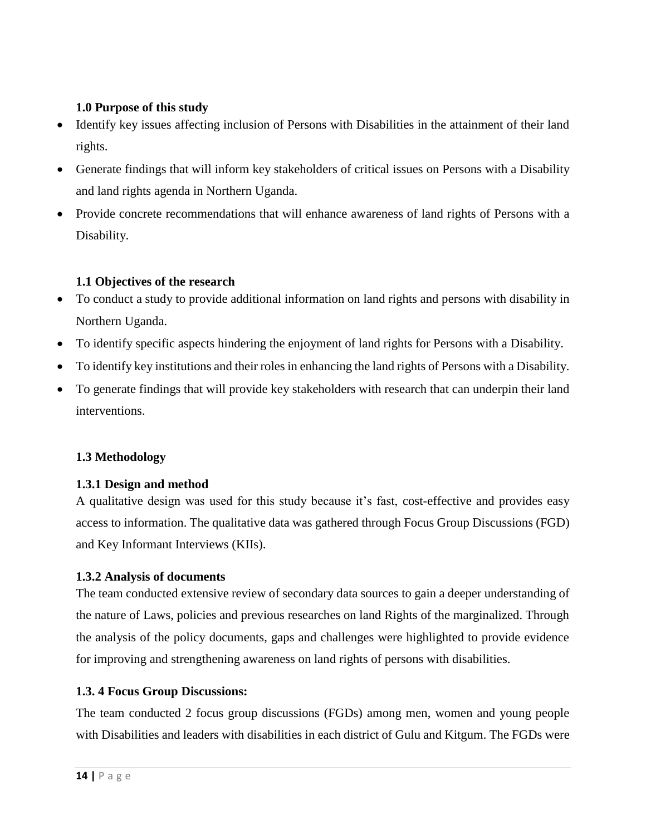# <span id="page-13-0"></span>**1.0 Purpose of this study**

- Identify key issues affecting inclusion of Persons with Disabilities in the attainment of their land rights.
- Generate findings that will inform key stakeholders of critical issues on Persons with a Disability and land rights agenda in Northern Uganda.
- Provide concrete recommendations that will enhance awareness of land rights of Persons with a Disability.

# <span id="page-13-1"></span>**1.1 Objectives of the research**

- To conduct a study to provide additional information on land rights and persons with disability in Northern Uganda.
- To identify specific aspects hindering the enjoyment of land rights for Persons with a Disability.
- To identify key institutions and their roles in enhancing the land rights of Persons with a Disability.
- To generate findings that will provide key stakeholders with research that can underpin their land interventions.

# <span id="page-13-2"></span>**1.3 Methodology**

# <span id="page-13-3"></span>**1.3.1 Design and method**

A qualitative design was used for this study because it's fast, cost-effective and provides easy access to information. The qualitative data was gathered through Focus Group Discussions (FGD) and Key Informant Interviews (KIIs).

# <span id="page-13-4"></span>**1.3.2 Analysis of documents**

The team conducted extensive review of secondary data sources to gain a deeper understanding of the nature of Laws, policies and previous researches on land Rights of the marginalized. Through the analysis of the policy documents, gaps and challenges were highlighted to provide evidence for improving and strengthening awareness on land rights of persons with disabilities.

# <span id="page-13-5"></span>**1.3. 4 Focus Group Discussions:**

The team conducted 2 focus group discussions (FGDs) among men, women and young people with Disabilities and leaders with disabilities in each district of Gulu and Kitgum. The FGDs were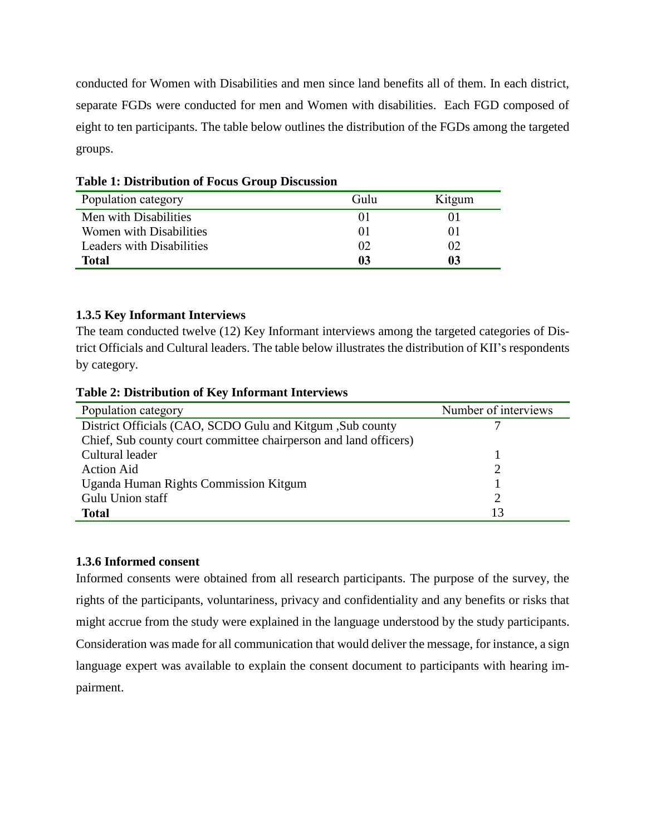conducted for Women with Disabilities and men since land benefits all of them. In each district, separate FGDs were conducted for men and Women with disabilities. Each FGD composed of eight to ten participants. The table below outlines the distribution of the FGDs among the targeted groups.

| Population category       | Gulu     | Kitgum |
|---------------------------|----------|--------|
| Men with Disabilities     | $\Omega$ |        |
| Women with Disabilities   | $\Omega$ | OΙ     |
| Leaders with Disabilities | 02       | 02     |
| <b>Total</b>              | 03       | 03     |

<span id="page-14-0"></span>**Table 1: Distribution of Focus Group Discussion**

# <span id="page-14-1"></span>**1.3.5 Key Informant Interviews**

The team conducted twelve (12) Key Informant interviews among the targeted categories of District Officials and Cultural leaders. The table below illustrates the distribution of KII's respondents by category.

<span id="page-14-2"></span>

| <b>Table 2: Distribution of Key Informant Interviews</b> |  |
|----------------------------------------------------------|--|
|----------------------------------------------------------|--|

| Population category                                              | Number of interviews |
|------------------------------------------------------------------|----------------------|
| District Officials (CAO, SCDO Gulu and Kitgum, Sub county        |                      |
| Chief, Sub county court committee chairperson and land officers) |                      |
| Cultural leader                                                  |                      |
| <b>Action Aid</b>                                                |                      |
| Uganda Human Rights Commission Kitgum                            |                      |
| Gulu Union staff                                                 |                      |
| <b>Total</b>                                                     | 13                   |

# <span id="page-14-3"></span>**1.3.6 Informed consent**

Informed consents were obtained from all research participants. The purpose of the survey, the rights of the participants, voluntariness, privacy and confidentiality and any benefits or risks that might accrue from the study were explained in the language understood by the study participants. Consideration was made for all communication that would deliver the message, for instance, a sign language expert was available to explain the consent document to participants with hearing impairment.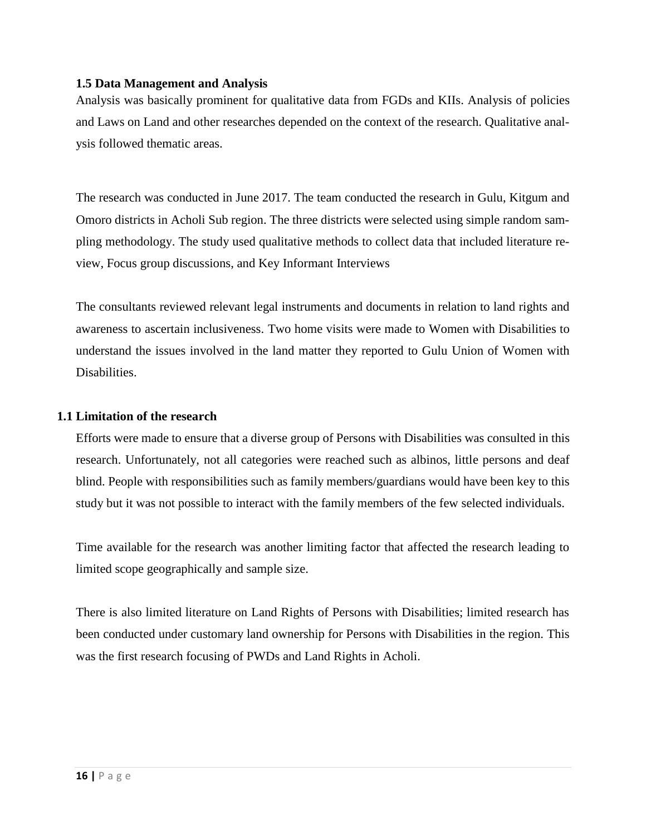#### <span id="page-15-0"></span>**1.5 Data Management and Analysis**

Analysis was basically prominent for qualitative data from FGDs and KIIs. Analysis of policies and Laws on Land and other researches depended on the context of the research. Qualitative analysis followed thematic areas.

The research was conducted in June 2017. The team conducted the research in Gulu, Kitgum and Omoro districts in Acholi Sub region. The three districts were selected using simple random sampling methodology. The study used qualitative methods to collect data that included literature review, Focus group discussions, and Key Informant Interviews

The consultants reviewed relevant legal instruments and documents in relation to land rights and awareness to ascertain inclusiveness. Two home visits were made to Women with Disabilities to understand the issues involved in the land matter they reported to Gulu Union of Women with Disabilities.

#### <span id="page-15-1"></span>**1.1 Limitation of the research**

Efforts were made to ensure that a diverse group of Persons with Disabilities was consulted in this research. Unfortunately, not all categories were reached such as albinos, little persons and deaf blind. People with responsibilities such as family members/guardians would have been key to this study but it was not possible to interact with the family members of the few selected individuals.

Time available for the research was another limiting factor that affected the research leading to limited scope geographically and sample size.

<span id="page-15-2"></span>There is also limited literature on Land Rights of Persons with Disabilities; limited research has been conducted under customary land ownership for Persons with Disabilities in the region. This was the first research focusing of PWDs and Land Rights in Acholi.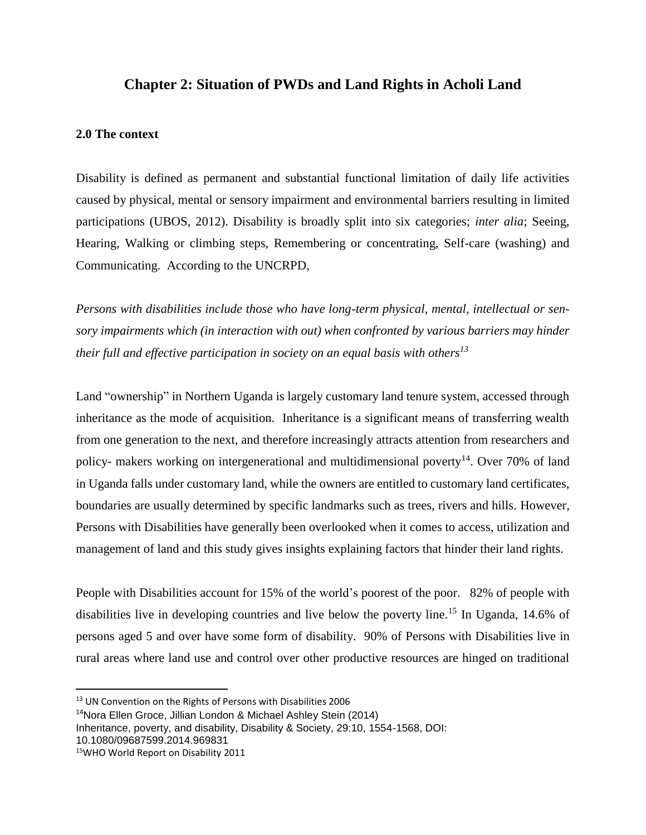# **Chapter 2: Situation of PWDs and Land Rights in Acholi Land**

#### <span id="page-16-0"></span>**2.0 The context**

Disability is defined as permanent and substantial functional limitation of daily life activities caused by physical, mental or sensory impairment and environmental barriers resulting in limited participations (UBOS, 2012). Disability is broadly split into six categories; *inter alia*; Seeing, Hearing, Walking or climbing steps, Remembering or concentrating, Self-care (washing) and Communicating. According to the UNCRPD,

*Persons with disabilities include those who have long-term physical, mental, intellectual or sensory impairments which (in interaction with out) when confronted by various barriers may hinder their full and effective participation in society on an equal basis with others<sup>13</sup>*

Land "ownership" in Northern Uganda is largely customary land tenure system, accessed through inheritance as the mode of acquisition. Inheritance is a significant means of transferring wealth from one generation to the next, and therefore increasingly attracts attention from researchers and policy- makers working on intergenerational and multidimensional poverty<sup>14</sup>. Over 70% of land in Uganda falls under customary land, while the owners are entitled to customary land certificates, boundaries are usually determined by specific landmarks such as trees, rivers and hills. However, Persons with Disabilities have generally been overlooked when it comes to access, utilization and management of land and this study gives insights explaining factors that hinder their land rights.

People with Disabilities account for 15% of the world's poorest of the poor. 82% of people with disabilities live in developing countries and live below the poverty line.<sup>15</sup> In Uganda, 14.6% of persons aged 5 and over have some form of disability. 90% of Persons with Disabilities live in rural areas where land use and control over other productive resources are hinged on traditional

```
Inheritance, poverty, and disability, Disability & Society, 29:10, 1554-1568, DOI:
```
10.1080/09687599.2014.969831

 $\overline{a}$ 

<sup>&</sup>lt;sup>13</sup> UN Convention on the Rights of Persons with Disabilities 2006

<sup>14</sup>Nora Ellen Groce, Jillian London & Michael Ashley Stein (2014)

<sup>15</sup>WHO World Report on Disability 2011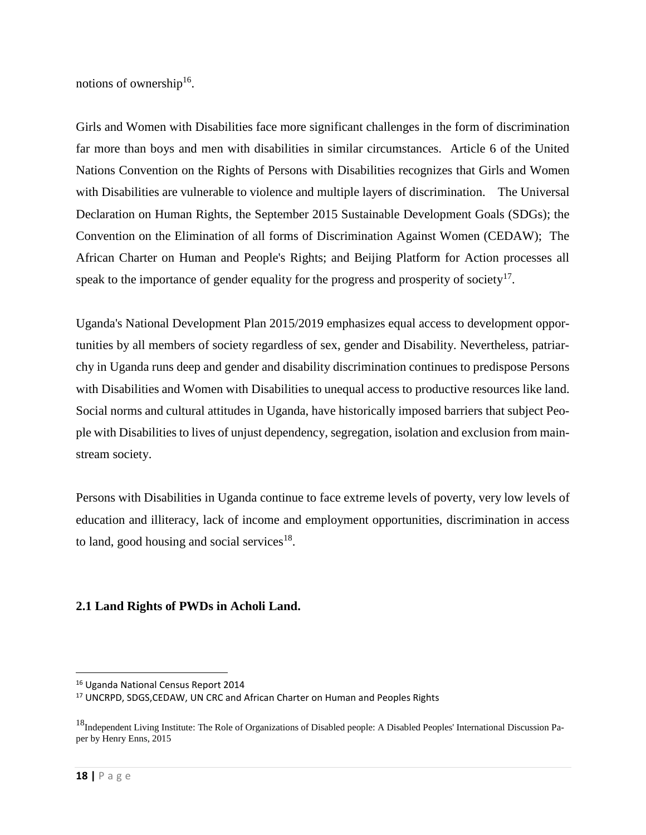notions of ownership<sup>16</sup>.

Girls and Women with Disabilities face more significant challenges in the form of discrimination far more than boys and men with disabilities in similar circumstances. Article 6 of the United Nations Convention on the Rights of Persons with Disabilities recognizes that Girls and Women with Disabilities are vulnerable to violence and multiple layers of discrimination. The Universal Declaration on Human Rights, the September 2015 Sustainable Development Goals (SDGs); the Convention on the Elimination of all forms of Discrimination Against Women (CEDAW); The African Charter on Human and People's Rights; and Beijing Platform for Action processes all speak to the importance of gender equality for the progress and prosperity of society $17$ .

Uganda's National Development Plan 2015/2019 emphasizes equal access to development opportunities by all members of society regardless of sex, gender and Disability. Nevertheless, patriarchy in Uganda runs deep and gender and disability discrimination continues to predispose Persons with Disabilities and Women with Disabilities to unequal access to productive resources like land. Social norms and cultural attitudes in Uganda, have historically imposed barriers that subject People with Disabilities to lives of unjust dependency, segregation, isolation and exclusion from mainstream society.

Persons with Disabilities in Uganda continue to face extreme levels of poverty, very low levels of education and illiteracy, lack of income and employment opportunities, discrimination in access to land, good housing and social services $18$ .

# <span id="page-17-0"></span>**2.1 Land Rights of PWDs in Acholi Land.**

 $\overline{a}$ 

<sup>16</sup> Uganda National Census Report 2014

<sup>&</sup>lt;sup>17</sup> UNCRPD, SDGS, CEDAW, UN CRC and African Charter on Human and Peoples Rights

<sup>&</sup>lt;sup>18</sup>Independent Living Institute: The Role of Organizations of Disabled people: A Disabled Peoples' International Discussion Paper by Henry Enns, 2015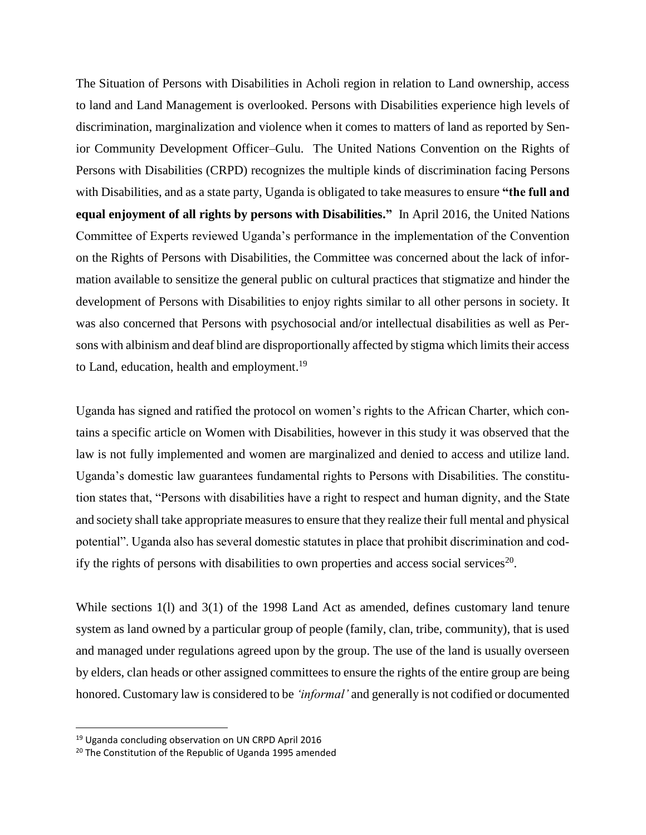The Situation of Persons with Disabilities in Acholi region in relation to Land ownership, access to land and Land Management is overlooked. Persons with Disabilities experience high levels of discrimination, marginalization and violence when it comes to matters of land as reported by Senior Community Development Officer–Gulu. The United Nations Convention on the Rights of Persons with Disabilities (CRPD) recognizes the multiple kinds of discrimination facing Persons with Disabilities, and as a state party, Uganda is obligated to take measures to ensure **"the full and equal enjoyment of all rights by persons with Disabilities."** In April 2016, the United Nations Committee of Experts reviewed Uganda's performance in the implementation of the Convention on the Rights of Persons with Disabilities, the Committee was concerned about the lack of information available to sensitize the general public on cultural practices that stigmatize and hinder the development of Persons with Disabilities to enjoy rights similar to all other persons in society. It was also concerned that Persons with psychosocial and/or intellectual disabilities as well as Persons with albinism and deaf blind are disproportionally affected by stigma which limits their access to Land, education, health and employment.<sup>19</sup>

Uganda has signed and ratified the protocol on women's rights to the African Charter, which contains a specific article on Women with Disabilities, however in this study it was observed that the law is not fully implemented and women are marginalized and denied to access and utilize land. Uganda's domestic law guarantees fundamental rights to Persons with Disabilities. The constitution states that, "Persons with disabilities have a right to respect and human dignity, and the State and society shall take appropriate measures to ensure that they realize their full mental and physical potential". Uganda also has several domestic statutes in place that prohibit discrimination and codify the rights of persons with disabilities to own properties and access social services<sup>20</sup>.

While sections 1(l) and 3(1) of the 1998 Land Act as amended, defines customary land tenure system as land owned by a particular group of people (family, clan, tribe, community), that is used and managed under regulations agreed upon by the group. The use of the land is usually overseen by elders, clan heads or other assigned committees to ensure the rights of the entire group are being honored. Customary law is considered to be *'informal'* and generally is not codified or documented

l

<sup>&</sup>lt;sup>19</sup> Uganda concluding observation on UN CRPD April 2016

<sup>20</sup> The Constitution of the Republic of Uganda 1995 amended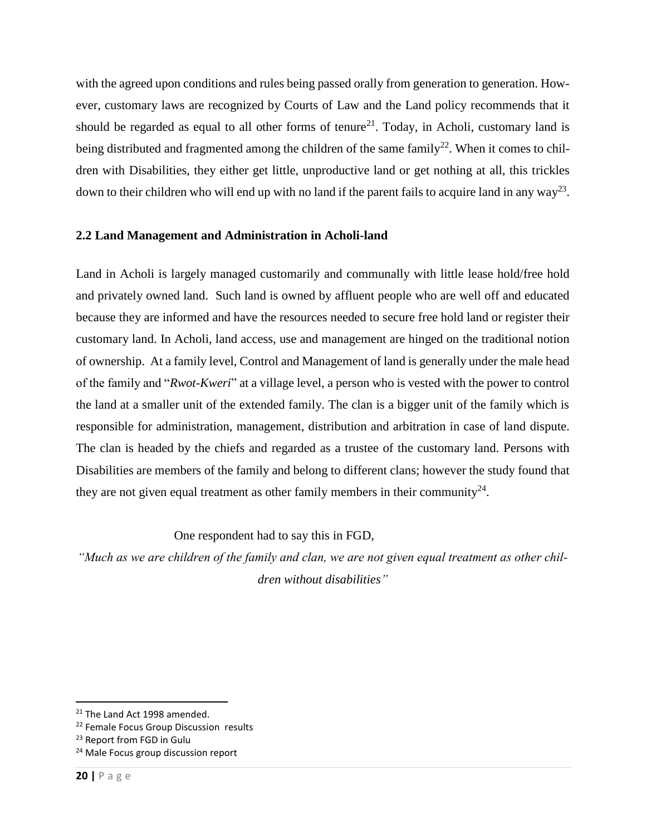with the agreed upon conditions and rules being passed orally from generation to generation. However, customary laws are recognized by Courts of Law and the Land policy recommends that it should be regarded as equal to all other forms of tenure<sup>21</sup>. Today, in Acholi, customary land is being distributed and fragmented among the children of the same family<sup>22</sup>. When it comes to children with Disabilities, they either get little, unproductive land or get nothing at all, this trickles down to their children who will end up with no land if the parent fails to acquire land in any way<sup>23</sup>.

# <span id="page-19-0"></span>**2.2 Land Management and Administration in Acholi-land**

Land in Acholi is largely managed customarily and communally with little lease hold/free hold and privately owned land. Such land is owned by affluent people who are well off and educated because they are informed and have the resources needed to secure free hold land or register their customary land. In Acholi, land access, use and management are hinged on the traditional notion of ownership. At a family level, Control and Management of land is generally under the male head of the family and "*Rwot-Kweri*" at a village level, a person who is vested with the power to control the land at a smaller unit of the extended family. The clan is a bigger unit of the family which is responsible for administration, management, distribution and arbitration in case of land dispute. The clan is headed by the chiefs and regarded as a trustee of the customary land. Persons with Disabilities are members of the family and belong to different clans; however the study found that they are not given equal treatment as other family members in their community<sup>24</sup>.

One respondent had to say this in FGD,

*"Much as we are children of the family and clan, we are not given equal treatment as other children without disabilities"*

 $\overline{a}$ 

<sup>&</sup>lt;sup>21</sup> The Land Act 1998 amended.

<sup>&</sup>lt;sup>22</sup> Female Focus Group Discussion results

<sup>&</sup>lt;sup>23</sup> Report from FGD in Gulu

<sup>&</sup>lt;sup>24</sup> Male Focus group discussion report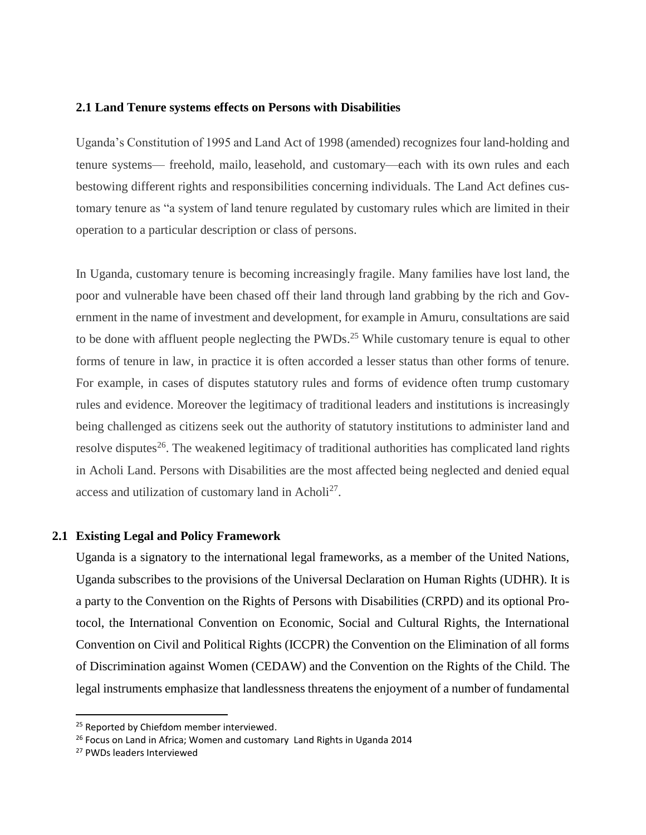#### <span id="page-20-0"></span>**2.1 Land Tenure systems effects on Persons with Disabilities**

Uganda's Constitution of 1995 and Land Act of 1998 (amended) recognizes four land-holding and tenure systems— freehold, mailo, leasehold, and customary—each with its own rules and each bestowing different rights and responsibilities concerning individuals. The Land Act defines customary tenure as "a system of land tenure regulated by customary rules which are limited in their operation to a particular description or class of persons.

In Uganda, customary tenure is becoming increasingly fragile. Many families have lost land, the poor and vulnerable have been chased off their land through land grabbing by the rich and Government in the name of investment and development, for example in Amuru, consultations are said to be done with affluent people neglecting the PWDs.<sup>25</sup> While customary tenure is equal to other forms of tenure in law, in practice it is often accorded a lesser status than other forms of tenure. For example, in cases of disputes statutory rules and forms of evidence often trump customary rules and evidence. Moreover the legitimacy of traditional leaders and institutions is increasingly being challenged as citizens seek out the authority of statutory institutions to administer land and resolve disputes<sup>26</sup>. The weakened legitimacy of traditional authorities has complicated land rights in Acholi Land. Persons with Disabilities are the most affected being neglected and denied equal access and utilization of customary land in Acholi<sup>27</sup>.

#### <span id="page-20-1"></span>**2.1 Existing Legal and Policy Framework**

Uganda is a signatory to the international legal frameworks, as a member of the United Nations, Uganda subscribes to the provisions of the Universal Declaration on Human Rights (UDHR). It is a party to the Convention on the Rights of Persons with Disabilities (CRPD) and its optional Protocol, the International Convention on Economic, Social and Cultural Rights, the International Convention on Civil and Political Rights (ICCPR) the Convention on the Elimination of all forms of Discrimination against Women (CEDAW) and the Convention on the Rights of the Child. The legal instruments emphasize that landlessness threatens the enjoyment of a number of fundamental

<sup>&</sup>lt;sup>25</sup> Reported by Chiefdom member interviewed.

<sup>&</sup>lt;sup>26</sup> Focus on Land in Africa; Women and customary Land Rights in Uganda 2014

<sup>27</sup> PWDs leaders Interviewed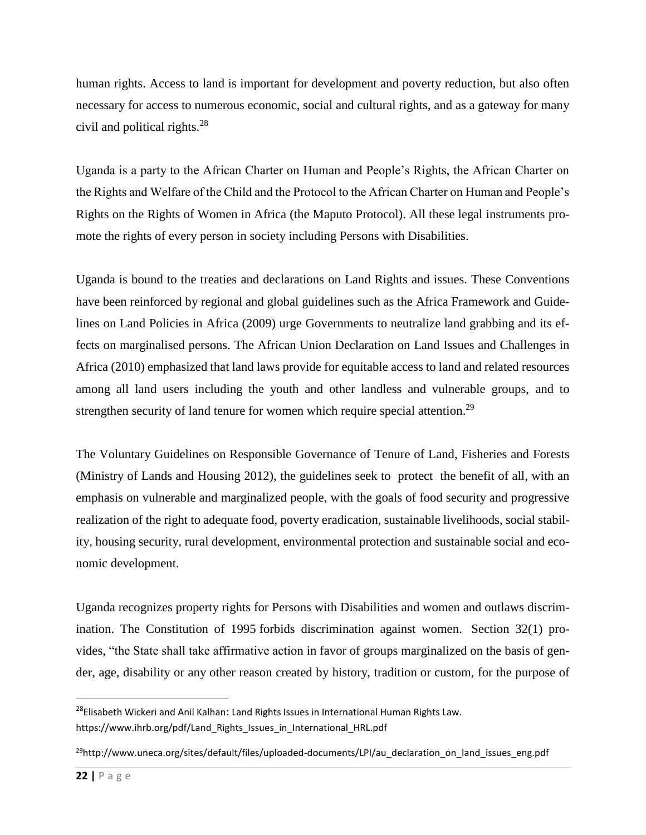human rights. Access to land is important for development and poverty reduction, but also often necessary for access to numerous economic, social and cultural rights, and as a gateway for many civil and political rights.<sup>28</sup>

Uganda is a party to the African Charter on Human and People's Rights, the African Charter on the Rights and Welfare of the Child and the Protocol to the African Charter on Human and People's Rights on the Rights of Women in Africa (the Maputo Protocol). All these legal instruments promote the rights of every person in society including Persons with Disabilities.

Uganda is bound to the treaties and declarations on Land Rights and issues. These Conventions have been reinforced by regional and global guidelines such as the Africa Framework and Guidelines on Land Policies in Africa (2009) urge Governments to neutralize land grabbing and its effects on marginalised persons. The African Union Declaration on Land Issues and Challenges in Africa (2010) emphasized that land laws provide for equitable access to land and related resources among all land users including the youth and other landless and vulnerable groups, and to strengthen security of land tenure for women which require special attention.<sup>29</sup>

The Voluntary Guidelines on Responsible Governance of Tenure of Land, Fisheries and Forests (Ministry of Lands and Housing 2012), the guidelines seek to protect the benefit of all, with an emphasis on vulnerable and marginalized people, with the goals of food security and progressive realization of the right to adequate food, poverty eradication, sustainable livelihoods, social stability, housing security, rural development, environmental protection and sustainable social and economic development.

Uganda recognizes property rights for Persons with Disabilities and women and outlaws discrimination. The Constitution of 1995 forbids discrimination against women. Section 32(1) provides, "the State shall take affirmative action in favor of groups marginalized on the basis of gender, age, disability or any other reason created by history, tradition or custom, for the purpose of

l

<sup>&</sup>lt;sup>28</sup>Elisabeth Wickeri and Anil Kalhan: Land Rights Issues in International Human Rights Law. [https://www.ihrb.org/pdf/Land\\_Rights\\_Issues\\_in\\_International\\_HRL.pdf](https://www.ihrb.org/pdf/Land_Rights_Issues_in_International_HRL.pdf)

<sup>&</sup>lt;sup>29</sup>http://www.uneca.org/sites/default/files/uploaded-documents/LPI/au declaration on land issues eng.pdf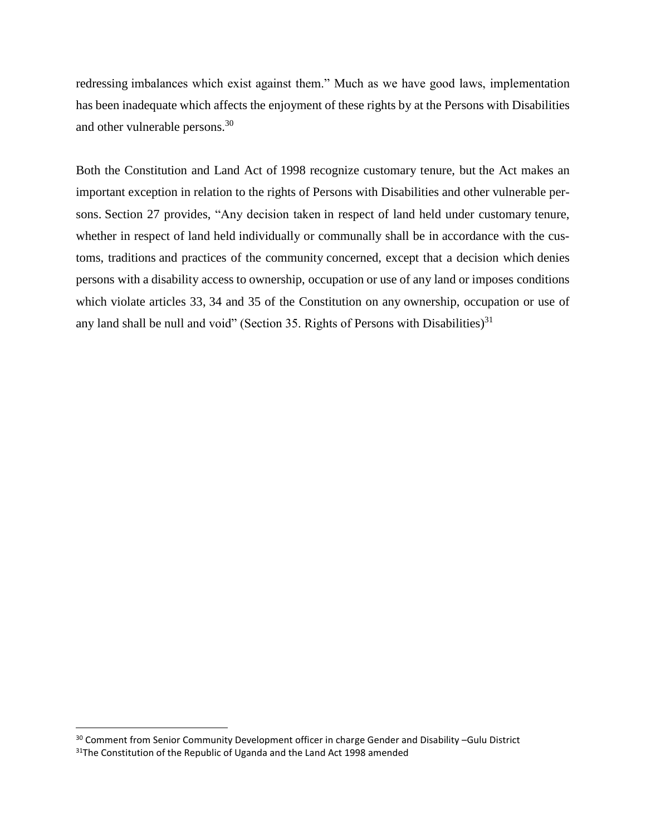redressing imbalances which exist against them." Much as we have good laws, implementation has been inadequate which affects the enjoyment of these rights by at the Persons with Disabilities and other vulnerable persons.<sup>30</sup>

Both the Constitution and Land Act of 1998 recognize customary tenure, but the Act makes an important exception in relation to the rights of Persons with Disabilities and other vulnerable persons. Section 27 provides, "Any decision taken in respect of land held under customary tenure, whether in respect of land held individually or communally shall be in accordance with the customs, traditions and practices of the community concerned, except that a decision which denies persons with a disability access to ownership, occupation or use of any land or imposes conditions which violate articles 33, 34 and 35 of the Constitution on any ownership, occupation or use of any land shall be null and void" (Section 35. Rights of Persons with Disabilities)<sup>31</sup>

<span id="page-22-0"></span>l

<sup>&</sup>lt;sup>30</sup> Comment from Senior Community Development officer in charge Gender and Disability -Gulu District  $31$ The Constitution of the Republic of Uganda and the Land Act 1998 amended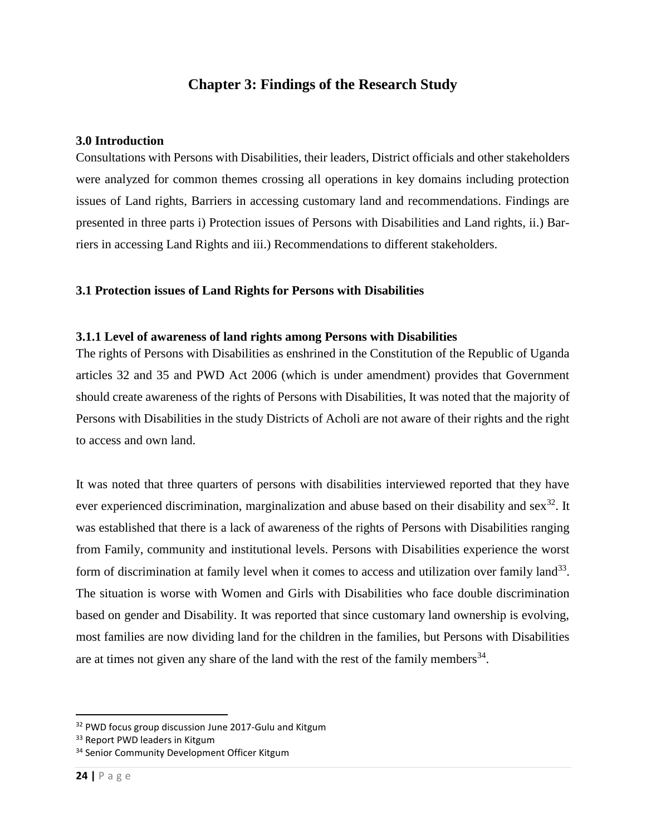# **Chapter 3: Findings of the Research Study**

### <span id="page-23-0"></span>**3.0 Introduction**

Consultations with Persons with Disabilities, their leaders, District officials and other stakeholders were analyzed for common themes crossing all operations in key domains including protection issues of Land rights, Barriers in accessing customary land and recommendations. Findings are presented in three parts i) Protection issues of Persons with Disabilities and Land rights, ii.) Barriers in accessing Land Rights and iii.) Recommendations to different stakeholders.

## <span id="page-23-1"></span>**3.1 Protection issues of Land Rights for Persons with Disabilities**

### <span id="page-23-2"></span>**3.1.1 Level of awareness of land rights among Persons with Disabilities**

The rights of Persons with Disabilities as enshrined in the Constitution of the Republic of Uganda articles 32 and 35 and PWD Act 2006 (which is under amendment) provides that Government should create awareness of the rights of Persons with Disabilities, It was noted that the majority of Persons with Disabilities in the study Districts of Acholi are not aware of their rights and the right to access and own land.

It was noted that three quarters of persons with disabilities interviewed reported that they have ever experienced discrimination, marginalization and abuse based on their disability and sex<sup>32</sup>. It was established that there is a lack of awareness of the rights of Persons with Disabilities ranging from Family, community and institutional levels. Persons with Disabilities experience the worst form of discrimination at family level when it comes to access and utilization over family land<sup>33</sup>. The situation is worse with Women and Girls with Disabilities who face double discrimination based on gender and Disability. It was reported that since customary land ownership is evolving, most families are now dividing land for the children in the families, but Persons with Disabilities are at times not given any share of the land with the rest of the family members<sup>34</sup>.

<sup>&</sup>lt;sup>32</sup> PWD focus group discussion June 2017-Gulu and Kitgum

<sup>&</sup>lt;sup>33</sup> Report PWD leaders in Kitgum

<sup>&</sup>lt;sup>34</sup> Senior Community Development Officer Kitgum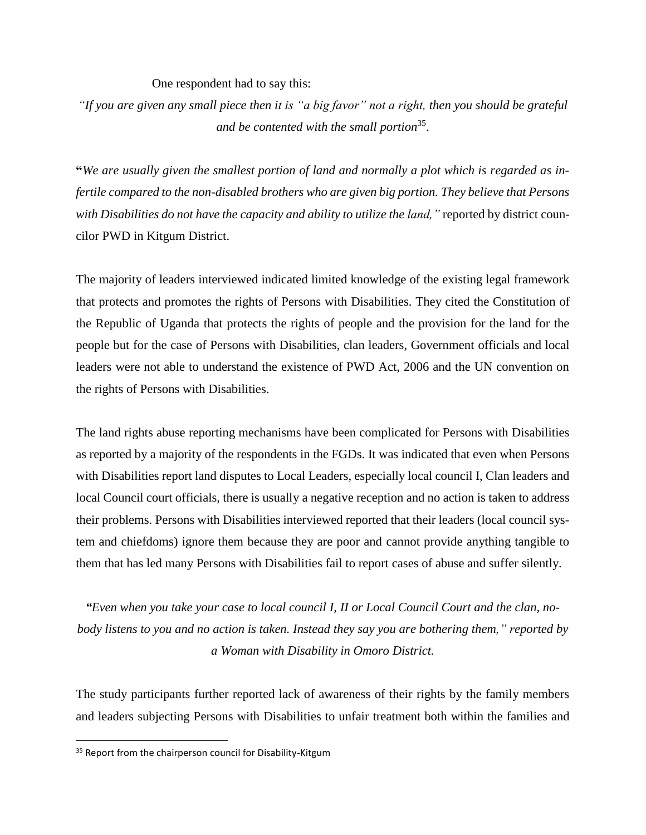#### One respondent had to say this:

*"If you are given any small piece then it is "a big favor" not a right, then you should be grateful and be contented with the small portion*<sup>35</sup> .

**"***We are usually given the smallest portion of land and normally a plot which is regarded as infertile compared to the non-disabled brothers who are given big portion. They believe that Persons with Disabilities do not have the capacity and ability to utilize the land,"* reported by district councilor PWD in Kitgum District.

The majority of leaders interviewed indicated limited knowledge of the existing legal framework that protects and promotes the rights of Persons with Disabilities. They cited the Constitution of the Republic of Uganda that protects the rights of people and the provision for the land for the people but for the case of Persons with Disabilities, clan leaders, Government officials and local leaders were not able to understand the existence of PWD Act, 2006 and the UN convention on the rights of Persons with Disabilities.

The land rights abuse reporting mechanisms have been complicated for Persons with Disabilities as reported by a majority of the respondents in the FGDs. It was indicated that even when Persons with Disabilities report land disputes to Local Leaders, especially local council I, Clan leaders and local Council court officials, there is usually a negative reception and no action is taken to address their problems. Persons with Disabilities interviewed reported that their leaders (local council system and chiefdoms) ignore them because they are poor and cannot provide anything tangible to them that has led many Persons with Disabilities fail to report cases of abuse and suffer silently.

*"Even when you take your case to local council I, II or Local Council Court and the clan, nobody listens to you and no action is taken. Instead they say you are bothering them," reported by a Woman with Disability in Omoro District.*

The study participants further reported lack of awareness of their rights by the family members and leaders subjecting Persons with Disabilities to unfair treatment both within the families and

<sup>&</sup>lt;sup>35</sup> Report from the chairperson council for Disability-Kitgum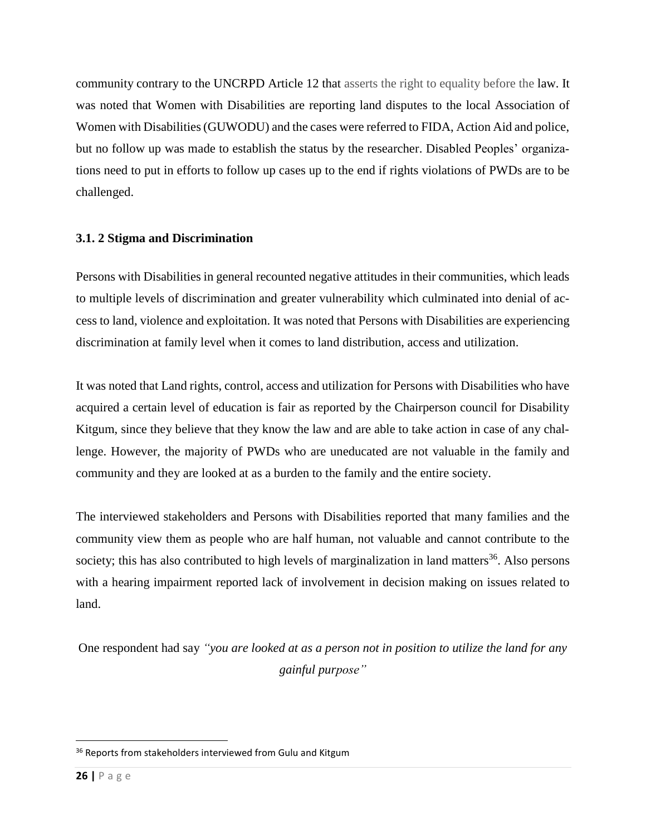community contrary to the UNCRPD Article 12 that asserts the right to equality before the law. It was noted that Women with Disabilities are reporting land disputes to the local Association of Women with Disabilities (GUWODU) and the cases were referred to FIDA, Action Aid and police, but no follow up was made to establish the status by the researcher. Disabled Peoples' organizations need to put in efforts to follow up cases up to the end if rights violations of PWDs are to be challenged.

# <span id="page-25-0"></span>**3.1. 2 Stigma and Discrimination**

Persons with Disabilities in general recounted negative attitudes in their communities, which leads to multiple levels of discrimination and greater vulnerability which culminated into denial of access to land, violence and exploitation. It was noted that Persons with Disabilities are experiencing discrimination at family level when it comes to land distribution, access and utilization.

It was noted that Land rights, control, access and utilization for Persons with Disabilities who have acquired a certain level of education is fair as reported by the Chairperson council for Disability Kitgum, since they believe that they know the law and are able to take action in case of any challenge. However, the majority of PWDs who are uneducated are not valuable in the family and community and they are looked at as a burden to the family and the entire society.

The interviewed stakeholders and Persons with Disabilities reported that many families and the community view them as people who are half human, not valuable and cannot contribute to the society; this has also contributed to high levels of marginalization in land matters $36$ . Also persons with a hearing impairment reported lack of involvement in decision making on issues related to land.

One respondent had say *"you are looked at as a person not in position to utilize the land for any gainful purpose"*

<sup>&</sup>lt;sup>36</sup> Reports from stakeholders interviewed from Gulu and Kitgum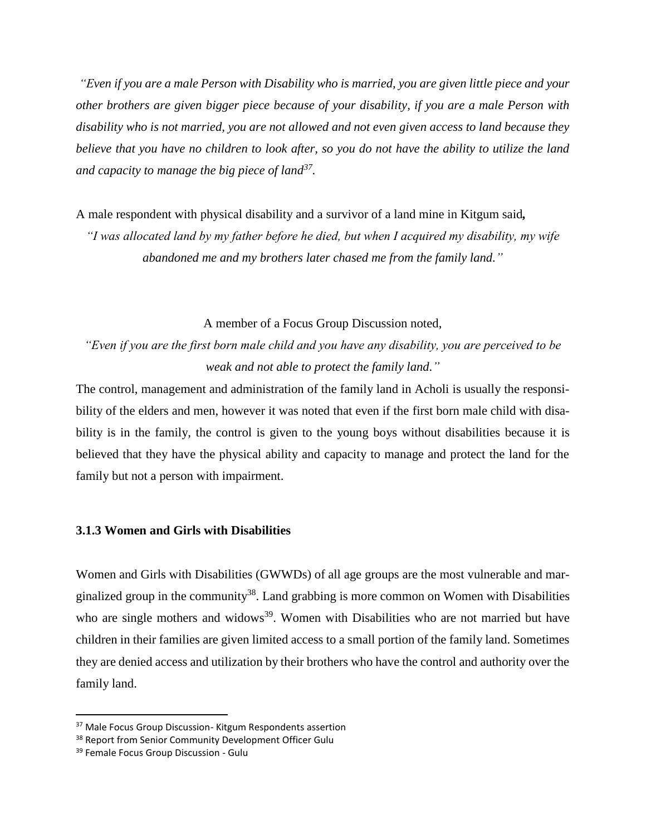*"Even if you are a male Person with Disability who is married, you are given little piece and your other brothers are given bigger piece because of your disability, if you are a male Person with disability who is not married, you are not allowed and not even given access to land because they believe that you have no children to look after, so you do not have the ability to utilize the land and capacity to manage the big piece of land<sup>37</sup> .*

A male respondent with physical disability and a survivor of a land mine in Kitgum said*,* 

*"I was allocated land by my father before he died, but when I acquired my disability, my wife abandoned me and my brothers later chased me from the family land."*

A member of a Focus Group Discussion noted,

*"Even if you are the first born male child and you have any disability, you are perceived to be weak and not able to protect the family land."*

The control, management and administration of the family land in Acholi is usually the responsibility of the elders and men, however it was noted that even if the first born male child with disability is in the family, the control is given to the young boys without disabilities because it is believed that they have the physical ability and capacity to manage and protect the land for the family but not a person with impairment.

# <span id="page-26-0"></span>**3.1.3 Women and Girls with Disabilities**

Women and Girls with Disabilities (GWWDs) of all age groups are the most vulnerable and marginalized group in the community<sup>38</sup>. Land grabbing is more common on Women with Disabilities who are single mothers and widows<sup>39</sup>. Women with Disabilities who are not married but have children in their families are given limited access to a small portion of the family land. Sometimes they are denied access and utilization by their brothers who have the control and authority over the family land.

<sup>&</sup>lt;sup>37</sup> Male Focus Group Discussion- Kitgum Respondents assertion

<sup>&</sup>lt;sup>38</sup> Report from Senior Community Development Officer Gulu

<sup>&</sup>lt;sup>39</sup> Female Focus Group Discussion - Gulu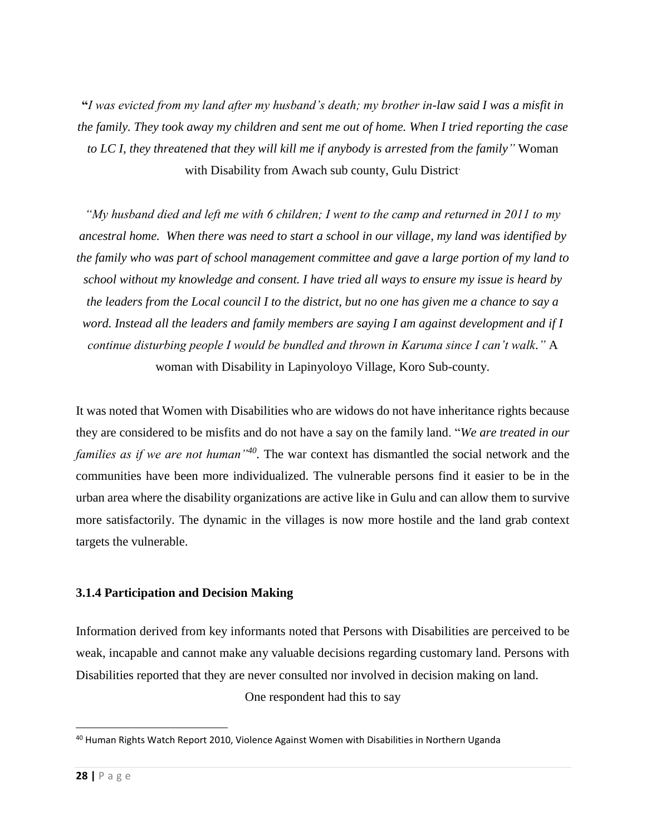**"***I was evicted from my land after my husband's death; my brother in-law said I was a misfit in the family. They took away my children and sent me out of home. When I tried reporting the case to LC I, they threatened that they will kill me if anybody is arrested from the family"* Woman with Disability from Awach sub county, Gulu District.

*"My husband died and left me with 6 children; I went to the camp and returned in 2011 to my ancestral home. When there was need to start a school in our village, my land was identified by the family who was part of school management committee and gave a large portion of my land to school without my knowledge and consent. I have tried all ways to ensure my issue is heard by the leaders from the Local council I to the district, but no one has given me a chance to say a word. Instead all the leaders and family members are saying I am against development and if I continue disturbing people I would be bundled and thrown in Karuma since I can't walk."* A woman with Disability in Lapinyoloyo Village, Koro Sub-county.

It was noted that Women with Disabilities who are widows do not have inheritance rights because they are considered to be misfits and do not have a say on the family land. "*We are treated in our families as if we are not human"<sup>40</sup> .* The war context has dismantled the social network and the communities have been more individualized. The vulnerable persons find it easier to be in the urban area where the disability organizations are active like in Gulu and can allow them to survive more satisfactorily. The dynamic in the villages is now more hostile and the land grab context targets the vulnerable.

### <span id="page-27-0"></span>**3.1.4 Participation and Decision Making**

Information derived from key informants noted that Persons with Disabilities are perceived to be weak, incapable and cannot make any valuable decisions regarding customary land. Persons with Disabilities reported that they are never consulted nor involved in decision making on land.

One respondent had this to say

l <sup>40</sup> Human Rights Watch Report 2010, Violence Against Women with Disabilities in Northern Uganda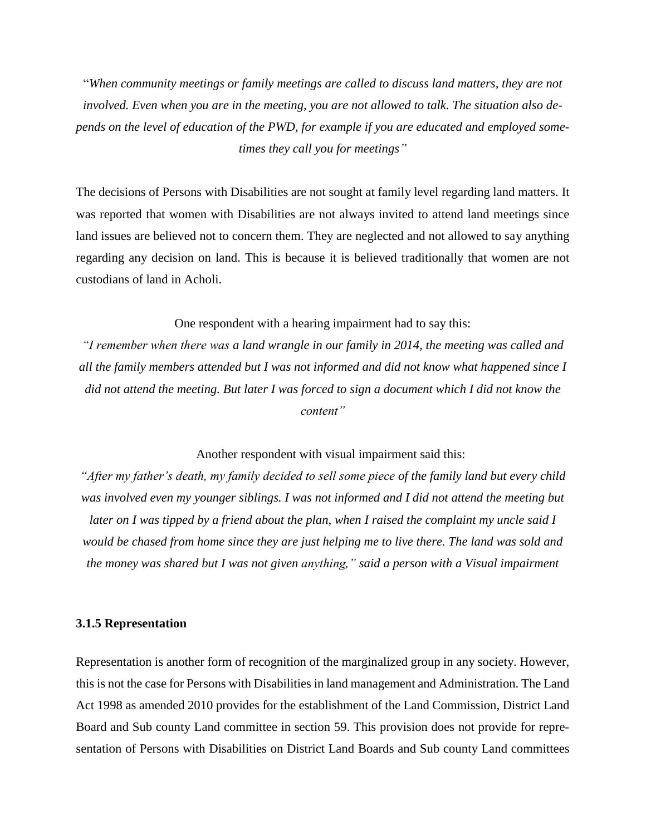"*When community meetings or family meetings are called to discuss land matters, they are not involved. Even when you are in the meeting, you are not allowed to talk. The situation also depends on the level of education of the PWD, for example if you are educated and employed sometimes they call you for meetings"* 

The decisions of Persons with Disabilities are not sought at family level regarding land matters. It was reported that women with Disabilities are not always invited to attend land meetings since land issues are believed not to concern them. They are neglected and not allowed to say anything regarding any decision on land. This is because it is believed traditionally that women are not custodians of land in Acholi.

One respondent with a hearing impairment had to say this:

*"I remember when there was a land wrangle in our family in 2014, the meeting was called and all the family members attended but I was not informed and did not know what happened since I did not attend the meeting. But later I was forced to sign a document which I did not know the content"* 

Another respondent with visual impairment said this:

*"After my father's death, my family decided to sell some piece of the family land but every child*  was involved even my younger siblings. I was not informed and I did not attend the meeting but *later on I was tipped by a friend about the plan, when I raised the complaint my uncle said I would be chased from home since they are just helping me to live there. The land was sold and the money was shared but I was not given anything," said a person with a Visual impairment*

#### <span id="page-28-0"></span>**3.1.5 Representation**

Representation is another form of recognition of the marginalized group in any society. However, this is not the case for Persons with Disabilities in land management and Administration. The Land Act 1998 as amended 2010 provides for the establishment of the Land Commission, District Land Board and Sub county Land committee in section 59. This provision does not provide for representation of Persons with Disabilities on District Land Boards and Sub county Land committees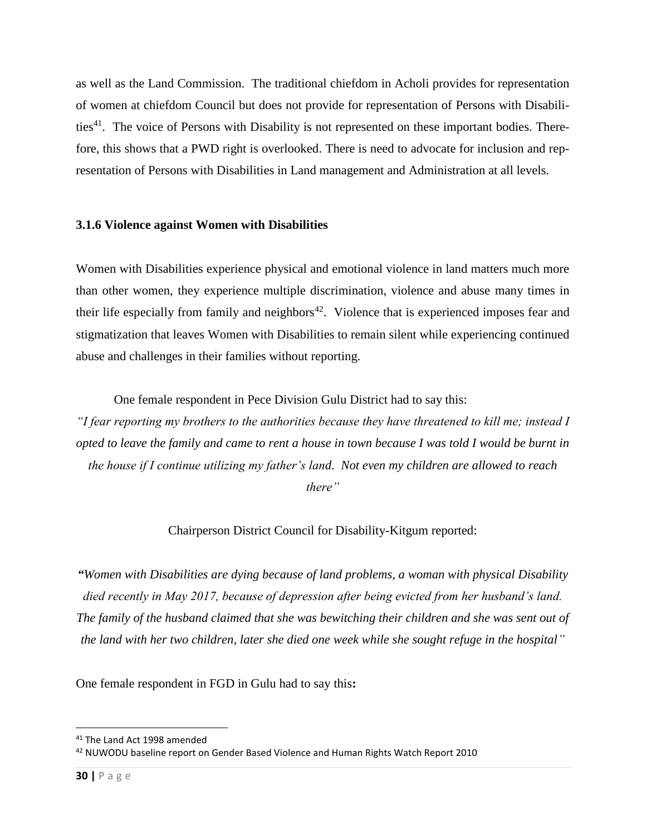as well as the Land Commission. The traditional chiefdom in Acholi provides for representation of women at chiefdom Council but does not provide for representation of Persons with Disabilities<sup>41</sup>. The voice of Persons with Disability is not represented on these important bodies. Therefore, this shows that a PWD right is overlooked. There is need to advocate for inclusion and representation of Persons with Disabilities in Land management and Administration at all levels.

#### <span id="page-29-0"></span>**3.1.6 Violence against Women with Disabilities**

Women with Disabilities experience physical and emotional violence in land matters much more than other women, they experience multiple discrimination, violence and abuse many times in their life especially from family and neighbors<sup>42</sup>. Violence that is experienced imposes fear and stigmatization that leaves Women with Disabilities to remain silent while experiencing continued abuse and challenges in their families without reporting.

One female respondent in Pece Division Gulu District had to say this:

*"I fear reporting my brothers to the authorities because they have threatened to kill me; instead I opted to leave the family and came to rent a house in town because I was told I would be burnt in the house if I continue utilizing my father's land. Not even my children are allowed to reach* 

*there"*

Chairperson District Council for Disability-Kitgum reported:

*"Women with Disabilities are dying because of land problems, a woman with physical Disability died recently in May 2017, because of depression after being evicted from her husband's land. The family of the husband claimed that she was bewitching their children and she was sent out of the land with her two children, later she died one week while she sought refuge in the hospital"*

One female respondent in FGD in Gulu had to say this**:** 

l

<sup>&</sup>lt;sup>41</sup> The Land Act 1998 amended

<sup>42</sup> NUWODU baseline report on Gender Based Violence and Human Rights Watch Report 2010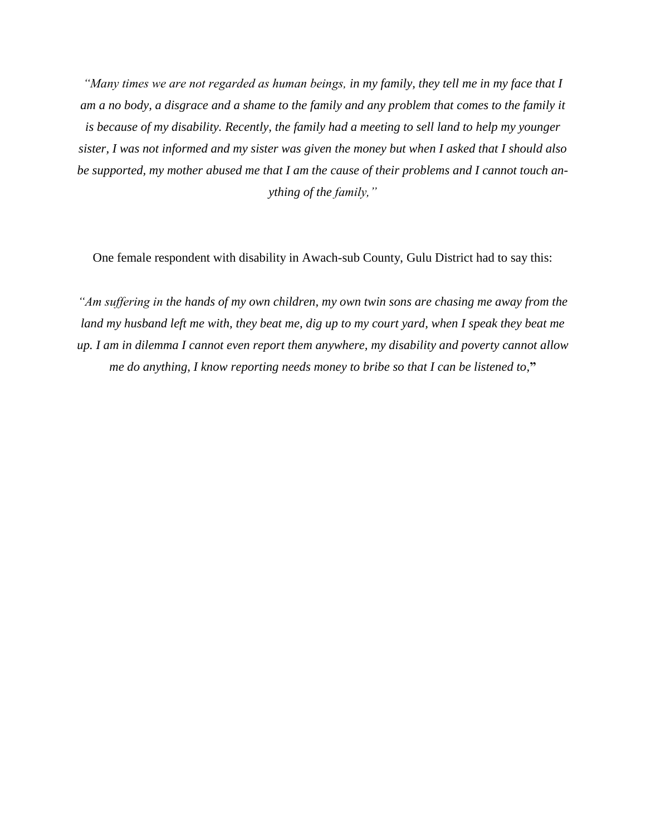*"Many times we are not regarded as human beings, in my family, they tell me in my face that I am a no body, a disgrace and a shame to the family and any problem that comes to the family it is because of my disability. Recently, the family had a meeting to sell land to help my younger sister, I was not informed and my sister was given the money but when I asked that I should also be supported, my mother abused me that I am the cause of their problems and I cannot touch anything of the family,"*

One female respondent with disability in Awach-sub County, Gulu District had to say this:

*"Am suffering in the hands of my own children, my own twin sons are chasing me away from the land my husband left me with, they beat me, dig up to my court yard, when I speak they beat me up. I am in dilemma I cannot even report them anywhere, my disability and poverty cannot allow me do anything, I know reporting needs money to bribe so that I can be listened to,***"**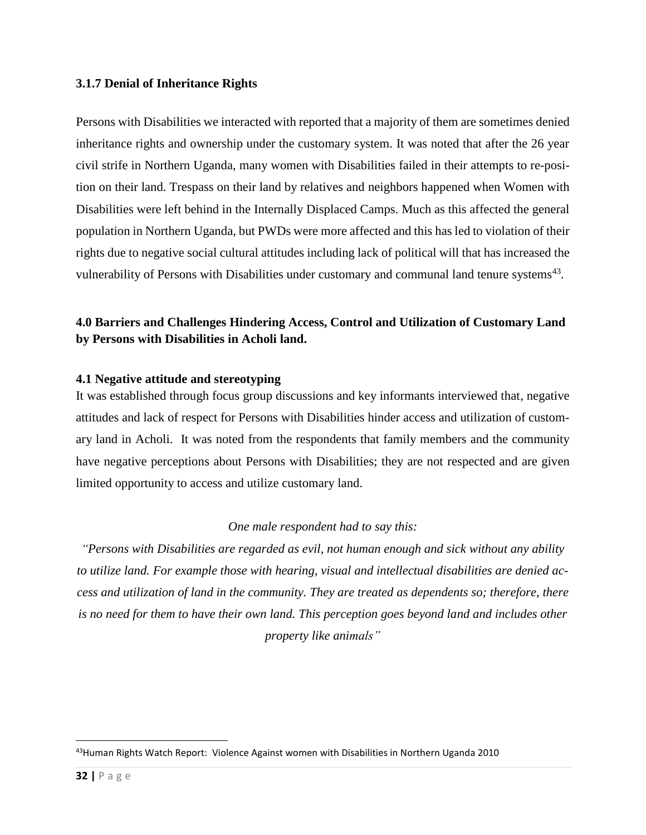### <span id="page-31-0"></span>**3.1.7 Denial of Inheritance Rights**

Persons with Disabilities we interacted with reported that a majority of them are sometimes denied inheritance rights and ownership under the customary system. It was noted that after the 26 year civil strife in Northern Uganda, many women with Disabilities failed in their attempts to re-position on their land. Trespass on their land by relatives and neighbors happened when Women with Disabilities were left behind in the Internally Displaced Camps. Much as this affected the general population in Northern Uganda, but PWDs were more affected and this has led to violation of their rights due to negative social cultural attitudes including lack of political will that has increased the vulnerability of Persons with Disabilities under customary and communal land tenure systems<sup>43</sup>.

# <span id="page-31-1"></span>**4.0 Barriers and Challenges Hindering Access, Control and Utilization of Customary Land by Persons with Disabilities in Acholi land.**

## <span id="page-31-2"></span>**4.1 Negative attitude and stereotyping**

It was established through focus group discussions and key informants interviewed that, negative attitudes and lack of respect for Persons with Disabilities hinder access and utilization of customary land in Acholi. It was noted from the respondents that family members and the community have negative perceptions about Persons with Disabilities; they are not respected and are given limited opportunity to access and utilize customary land.

### *One male respondent had to say this:*

*"Persons with Disabilities are regarded as evil, not human enough and sick without any ability to utilize land. For example those with hearing, visual and intellectual disabilities are denied access and utilization of land in the community. They are treated as dependents so; therefore, there is no need for them to have their own land. This perception goes beyond land and includes other property like animals"*

<sup>43</sup>Human Rights Watch Report: Violence Against women with Disabilities in Northern Uganda 2010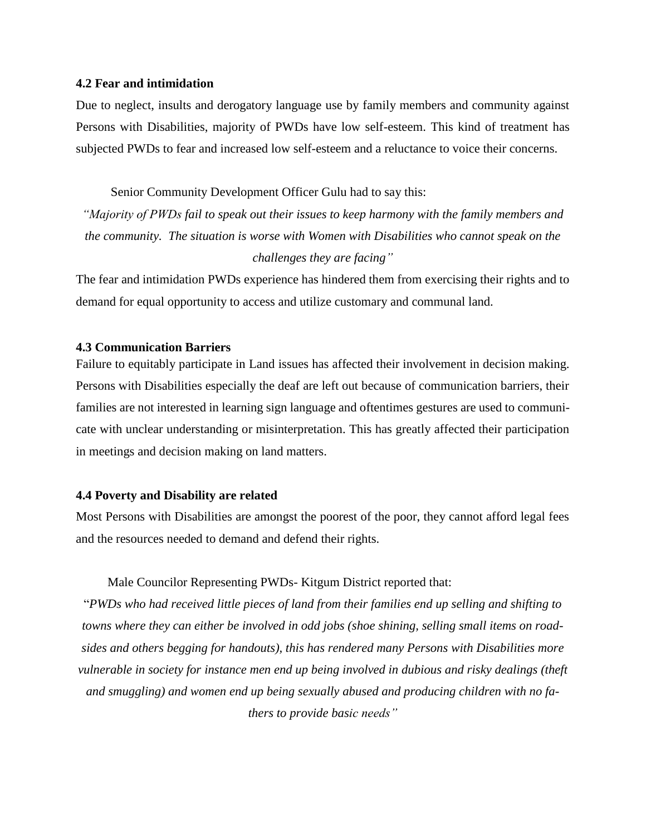#### <span id="page-32-0"></span>**4.2 Fear and intimidation**

Due to neglect, insults and derogatory language use by family members and community against Persons with Disabilities, majority of PWDs have low self-esteem. This kind of treatment has subjected PWDs to fear and increased low self-esteem and a reluctance to voice their concerns.

Senior Community Development Officer Gulu had to say this:

*"Majority of PWDs fail to speak out their issues to keep harmony with the family members and the community. The situation is worse with Women with Disabilities who cannot speak on the challenges they are facing"*

The fear and intimidation PWDs experience has hindered them from exercising their rights and to demand for equal opportunity to access and utilize customary and communal land.

#### <span id="page-32-1"></span>**4.3 Communication Barriers**

Failure to equitably participate in Land issues has affected their involvement in decision making. Persons with Disabilities especially the deaf are left out because of communication barriers, their families are not interested in learning sign language and oftentimes gestures are used to communicate with unclear understanding or misinterpretation. This has greatly affected their participation in meetings and decision making on land matters.

#### <span id="page-32-2"></span>**4.4 Poverty and Disability are related**

Most Persons with Disabilities are amongst the poorest of the poor, they cannot afford legal fees and the resources needed to demand and defend their rights.

#### Male Councilor Representing PWDs- Kitgum District reported that:

"*PWDs who had received little pieces of land from their families end up selling and shifting to towns where they can either be involved in odd jobs (shoe shining, selling small items on roadsides and others begging for handouts), this has rendered many Persons with Disabilities more vulnerable in society for instance men end up being involved in dubious and risky dealings (theft and smuggling) and women end up being sexually abused and producing children with no fathers to provide basic needs"*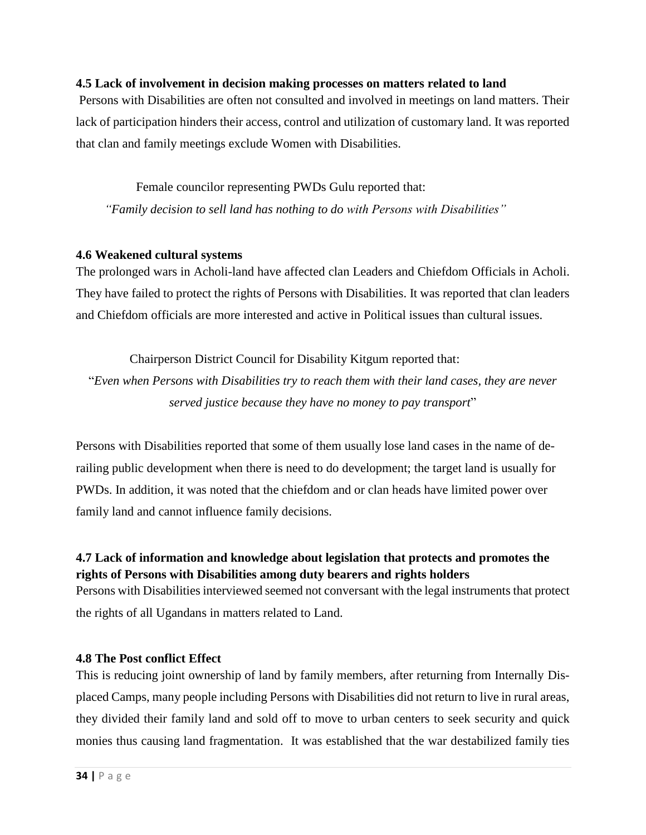#### <span id="page-33-0"></span>**4.5 Lack of involvement in decision making processes on matters related to land**

Persons with Disabilities are often not consulted and involved in meetings on land matters. Their lack of participation hinders their access, control and utilization of customary land. It was reported that clan and family meetings exclude Women with Disabilities.

 Female councilor representing PWDs Gulu reported that: *"Family decision to sell land has nothing to do with Persons with Disabilities"*

#### <span id="page-33-1"></span>**4.6 Weakened cultural systems**

The prolonged wars in Acholi-land have affected clan Leaders and Chiefdom Officials in Acholi. They have failed to protect the rights of Persons with Disabilities. It was reported that clan leaders and Chiefdom officials are more interested and active in Political issues than cultural issues.

Chairperson District Council for Disability Kitgum reported that:

"*Even when Persons with Disabilities try to reach them with their land cases, they are never served justice because they have no money to pay transport*"

Persons with Disabilities reported that some of them usually lose land cases in the name of derailing public development when there is need to do development; the target land is usually for PWDs. In addition, it was noted that the chiefdom and or clan heads have limited power over family land and cannot influence family decisions.

# <span id="page-33-2"></span>**4.7 Lack of information and knowledge about legislation that protects and promotes the rights of Persons with Disabilities among duty bearers and rights holders**

Persons with Disabilities interviewed seemed not conversant with the legal instruments that protect the rights of all Ugandans in matters related to Land.

### <span id="page-33-3"></span>**4.8 The Post conflict Effect**

This is reducing joint ownership of land by family members, after returning from Internally Displaced Camps, many people including Persons with Disabilities did not return to live in rural areas, they divided their family land and sold off to move to urban centers to seek security and quick monies thus causing land fragmentation. It was established that the war destabilized family ties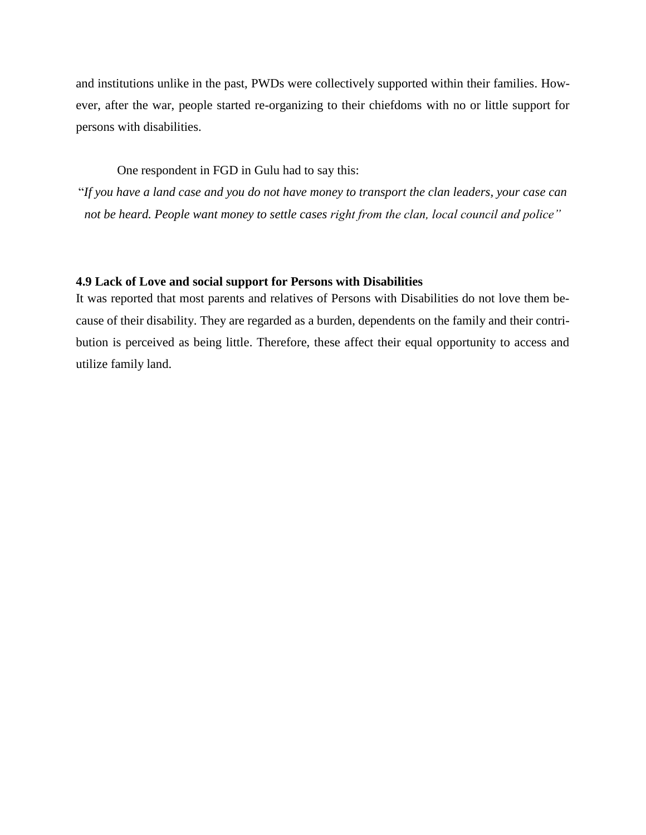and institutions unlike in the past, PWDs were collectively supported within their families. However, after the war, people started re-organizing to their chiefdoms with no or little support for persons with disabilities.

One respondent in FGD in Gulu had to say this:

"*If you have a land case and you do not have money to transport the clan leaders, your case can not be heard. People want money to settle cases right from the clan, local council and police"*

#### <span id="page-34-0"></span>**4.9 Lack of Love and social support for Persons with Disabilities**

It was reported that most parents and relatives of Persons with Disabilities do not love them because of their disability. They are regarded as a burden, dependents on the family and their contribution is perceived as being little. Therefore, these affect their equal opportunity to access and utilize family land.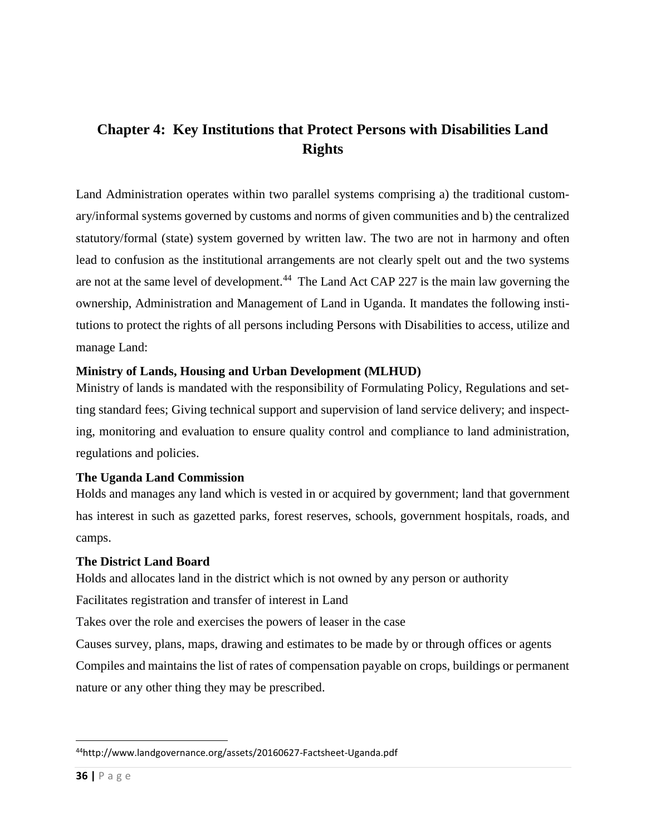# <span id="page-35-0"></span>**Chapter 4: Key Institutions that Protect Persons with Disabilities Land Rights**

Land Administration operates within two parallel systems comprising a) the traditional customary/informal systems governed by customs and norms of given communities and b) the centralized statutory/formal (state) system governed by written law. The two are not in harmony and often lead to confusion as the institutional arrangements are not clearly spelt out and the two systems are not at the same level of development.<sup>44</sup> The Land Act CAP 227 is the main law governing the ownership, Administration and Management of Land in Uganda. It mandates the following institutions to protect the rights of all persons including Persons with Disabilities to access, utilize and manage Land:

# <span id="page-35-1"></span>**Ministry of Lands, Housing and Urban Development (MLHUD)**

Ministry of lands is mandated with the responsibility of Formulating Policy, Regulations and setting standard fees; Giving technical support and supervision of land service delivery; and inspecting, monitoring and evaluation to ensure quality control and compliance to land administration, regulations and policies.

# <span id="page-35-2"></span>**The Uganda Land Commission**

Holds and manages any land which is vested in or acquired by government; land that government has interest in such as gazetted parks, forest reserves, schools, government hospitals, roads, and camps.

# <span id="page-35-3"></span>**The District Land Board**

Holds and allocates land in the district which is not owned by any person or authority

Facilitates registration and transfer of interest in Land

Takes over the role and exercises the powers of leaser in the case

Causes survey, plans, maps, drawing and estimates to be made by or through offices or agents Compiles and maintains the list of rates of compensation payable on crops, buildings or permanent

nature or any other thing they may be prescribed.

 $\overline{\phantom{a}}$ 44http://www.landgovernance.org/assets/20160627-Factsheet-Uganda.pdf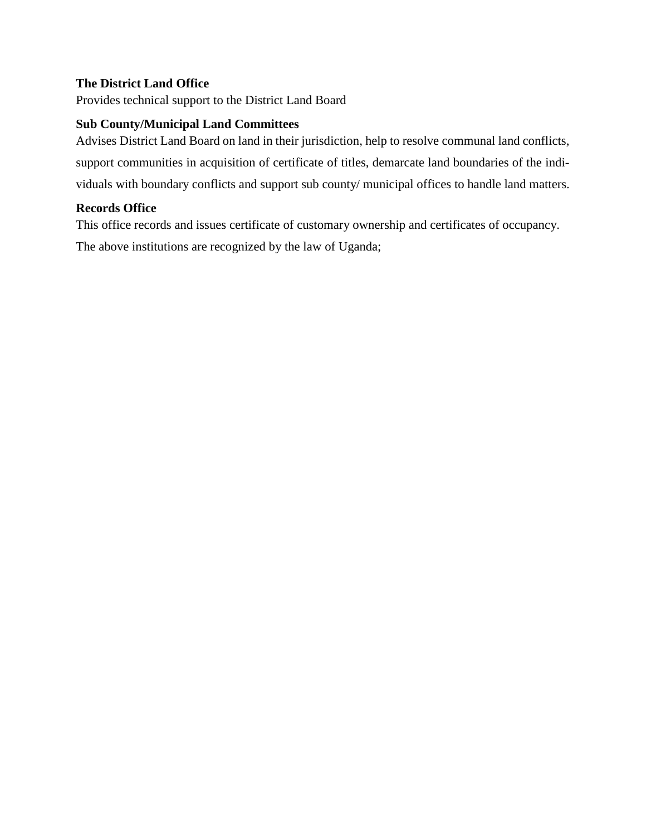# <span id="page-36-0"></span>**The District Land Office**

Provides technical support to the District Land Board

## <span id="page-36-1"></span>**Sub County/Municipal Land Committees**

Advises District Land Board on land in their jurisdiction, help to resolve communal land conflicts, support communities in acquisition of certificate of titles, demarcate land boundaries of the individuals with boundary conflicts and support sub county/ municipal offices to handle land matters.

## <span id="page-36-2"></span>**Records Office**

This office records and issues certificate of customary ownership and certificates of occupancy. The above institutions are recognized by the law of Uganda;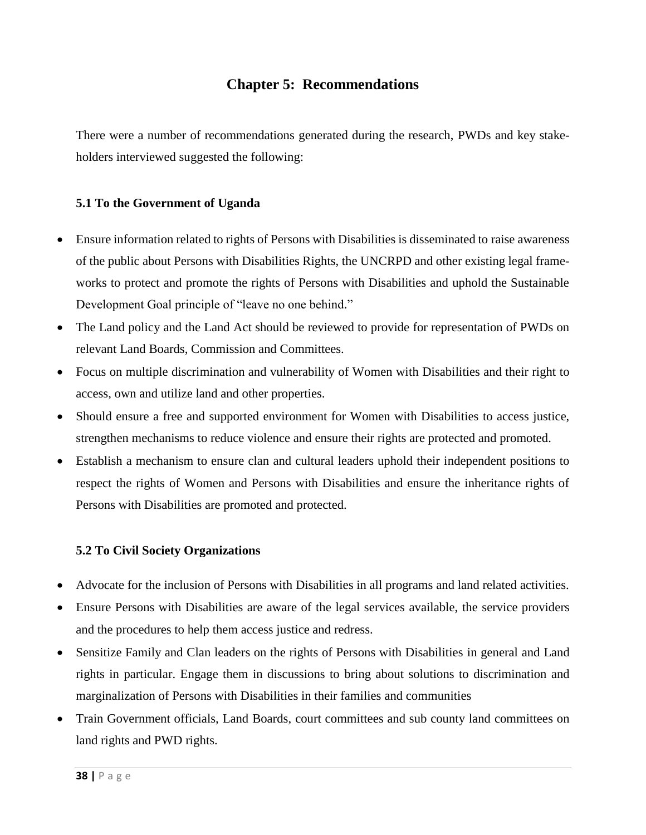# **Chapter 5: Recommendations**

<span id="page-37-0"></span>There were a number of recommendations generated during the research, PWDs and key stakeholders interviewed suggested the following:

## <span id="page-37-1"></span>**5.1 To the Government of Uganda**

- Ensure information related to rights of Persons with Disabilities is disseminated to raise awareness of the public about Persons with Disabilities Rights, the UNCRPD and other existing legal frameworks to protect and promote the rights of Persons with Disabilities and uphold the Sustainable Development Goal principle of "leave no one behind."
- The Land policy and the Land Act should be reviewed to provide for representation of PWDs on relevant Land Boards, Commission and Committees.
- Focus on multiple discrimination and vulnerability of Women with Disabilities and their right to access, own and utilize land and other properties.
- Should ensure a free and supported environment for Women with Disabilities to access justice, strengthen mechanisms to reduce violence and ensure their rights are protected and promoted.
- Establish a mechanism to ensure clan and cultural leaders uphold their independent positions to respect the rights of Women and Persons with Disabilities and ensure the inheritance rights of Persons with Disabilities are promoted and protected.

### <span id="page-37-2"></span>**5.2 To Civil Society Organizations**

- Advocate for the inclusion of Persons with Disabilities in all programs and land related activities.
- Ensure Persons with Disabilities are aware of the legal services available, the service providers and the procedures to help them access justice and redress.
- Sensitize Family and Clan leaders on the rights of Persons with Disabilities in general and Land rights in particular. Engage them in discussions to bring about solutions to discrimination and marginalization of Persons with Disabilities in their families and communities
- Train Government officials, Land Boards, court committees and sub county land committees on land rights and PWD rights.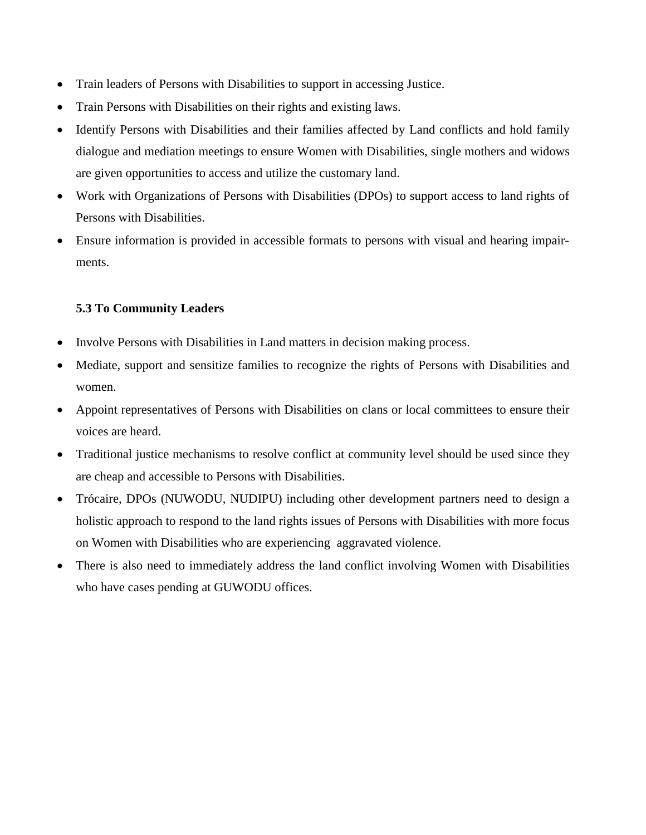- Train leaders of Persons with Disabilities to support in accessing Justice.
- Train Persons with Disabilities on their rights and existing laws.
- Identify Persons with Disabilities and their families affected by Land conflicts and hold family dialogue and mediation meetings to ensure Women with Disabilities, single mothers and widows are given opportunities to access and utilize the customary land.
- Work with Organizations of Persons with Disabilities (DPOs) to support access to land rights of Persons with Disabilities.
- Ensure information is provided in accessible formats to persons with visual and hearing impairments.

# <span id="page-38-0"></span>**5.3 To Community Leaders**

- Involve Persons with Disabilities in Land matters in decision making process.
- Mediate, support and sensitize families to recognize the rights of Persons with Disabilities and women.
- Appoint representatives of Persons with Disabilities on clans or local committees to ensure their voices are heard.
- Traditional justice mechanisms to resolve conflict at community level should be used since they are cheap and accessible to Persons with Disabilities.
- Trócaire, DPOs (NUWODU, NUDIPU) including other development partners need to design a holistic approach to respond to the land rights issues of Persons with Disabilities with more focus on Women with Disabilities who are experiencing aggravated violence.
- There is also need to immediately address the land conflict involving Women with Disabilities who have cases pending at GUWODU offices.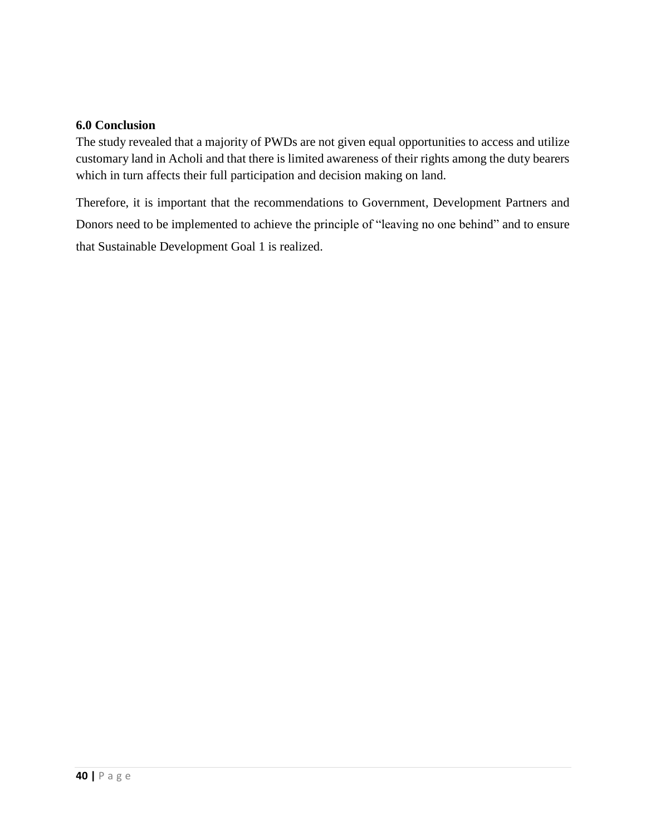### <span id="page-39-0"></span>**6.0 Conclusion**

The study revealed that a majority of PWDs are not given equal opportunities to access and utilize customary land in Acholi and that there is limited awareness of their rights among the duty bearers which in turn affects their full participation and decision making on land.

Therefore, it is important that the recommendations to Government, Development Partners and Donors need to be implemented to achieve the principle of "leaving no one behind" and to ensure that Sustainable Development Goal 1 is realized.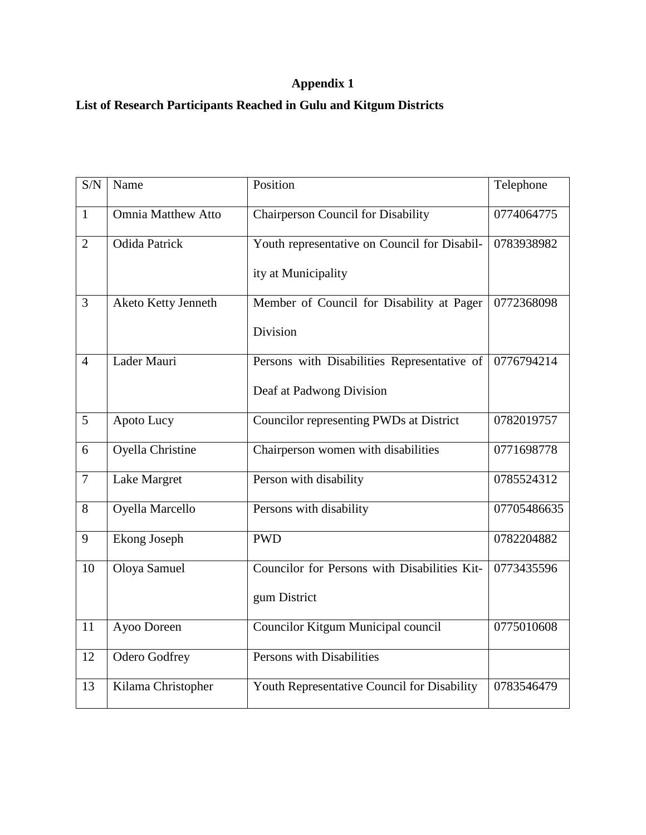# **Appendix 1**

# **List of Research Participants Reached in Gulu and Kitgum Districts**

| S/N            | Name                      | Position                                     | Telephone   |
|----------------|---------------------------|----------------------------------------------|-------------|
| $\mathbf{1}$   | <b>Omnia Matthew Atto</b> | <b>Chairperson Council for Disability</b>    | 0774064775  |
| $\overline{2}$ | <b>Odida Patrick</b>      | Youth representative on Council for Disabil- | 0783938982  |
|                |                           | ity at Municipality                          |             |
| $\overline{3}$ | Aketo Ketty Jenneth       | Member of Council for Disability at Pager    | 0772368098  |
|                |                           | Division                                     |             |
| $\overline{4}$ | Lader Mauri               | Persons with Disabilities Representative of  | 0776794214  |
|                |                           | Deaf at Padwong Division                     |             |
| 5              | Apoto Lucy                | Councilor representing PWDs at District      | 0782019757  |
| 6              | Oyella Christine          | Chairperson women with disabilities          | 0771698778  |
| $\overline{7}$ | Lake Margret              | Person with disability                       | 0785524312  |
| 8              | Oyella Marcello           | Persons with disability                      | 07705486635 |
| $\overline{9}$ | <b>Ekong Joseph</b>       | <b>PWD</b>                                   | 0782204882  |
| 10             | Oloya Samuel              | Councilor for Persons with Disabilities Kit- | 0773435596  |
|                |                           | gum District                                 |             |
| 11             | Ayoo Doreen               | Councilor Kitgum Municipal council           | 0775010608  |
| 12             | <b>Odero Godfrey</b>      | Persons with Disabilities                    |             |
| 13             | Kilama Christopher        | Youth Representative Council for Disability  | 0783546479  |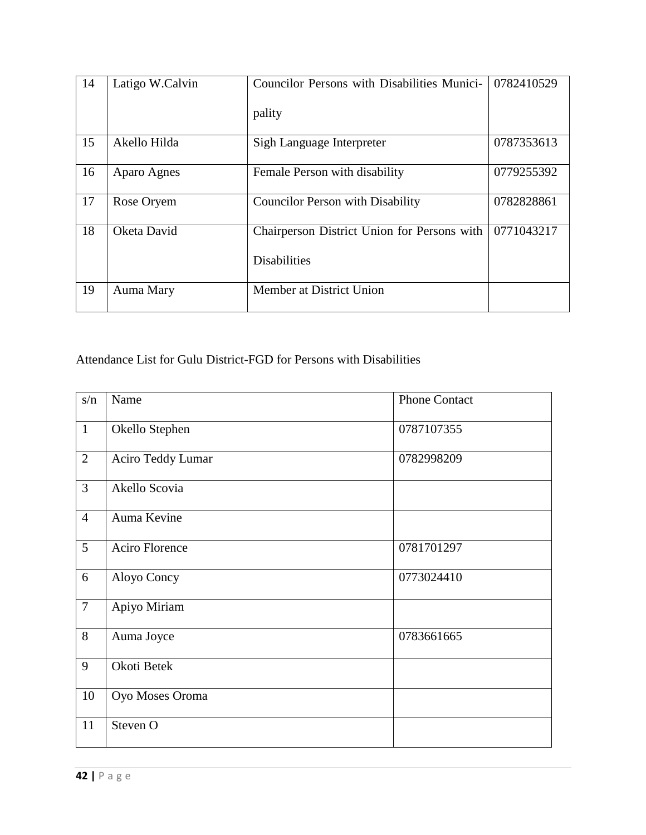| 14 | Latigo W.Calvin | Councilor Persons with Disabilities Munici- | 0782410529 |
|----|-----------------|---------------------------------------------|------------|
|    |                 | pality                                      |            |
| 15 | Akello Hilda    | Sigh Language Interpreter                   | 0787353613 |
| 16 | Aparo Agnes     | Female Person with disability               | 0779255392 |
| 17 | Rose Oryem      | <b>Councilor Person with Disability</b>     | 0782828861 |
| 18 | Oketa David     | Chairperson District Union for Persons with | 0771043217 |
|    |                 | <b>Disabilities</b>                         |            |
| 19 | Auma Mary       | Member at District Union                    |            |

Attendance List for Gulu District-FGD for Persons with Disabilities

| s/n              | Name              | <b>Phone Contact</b> |
|------------------|-------------------|----------------------|
| $\mathbf{1}$     | Okello Stephen    | 0787107355           |
| $\overline{2}$   | Aciro Teddy Lumar | 0782998209           |
| 3                | Akello Scovia     |                      |
| $\overline{4}$   | Auma Kevine       |                      |
| 5                | Aciro Florence    | 0781701297           |
| 6                | Aloyo Concy       | 0773024410           |
| $\boldsymbol{7}$ | Apiyo Miriam      |                      |
| 8                | Auma Joyce        | 0783661665           |
| 9                | Okoti Betek       |                      |
| 10               | Oyo Moses Oroma   |                      |
| 11               | Steven O          |                      |